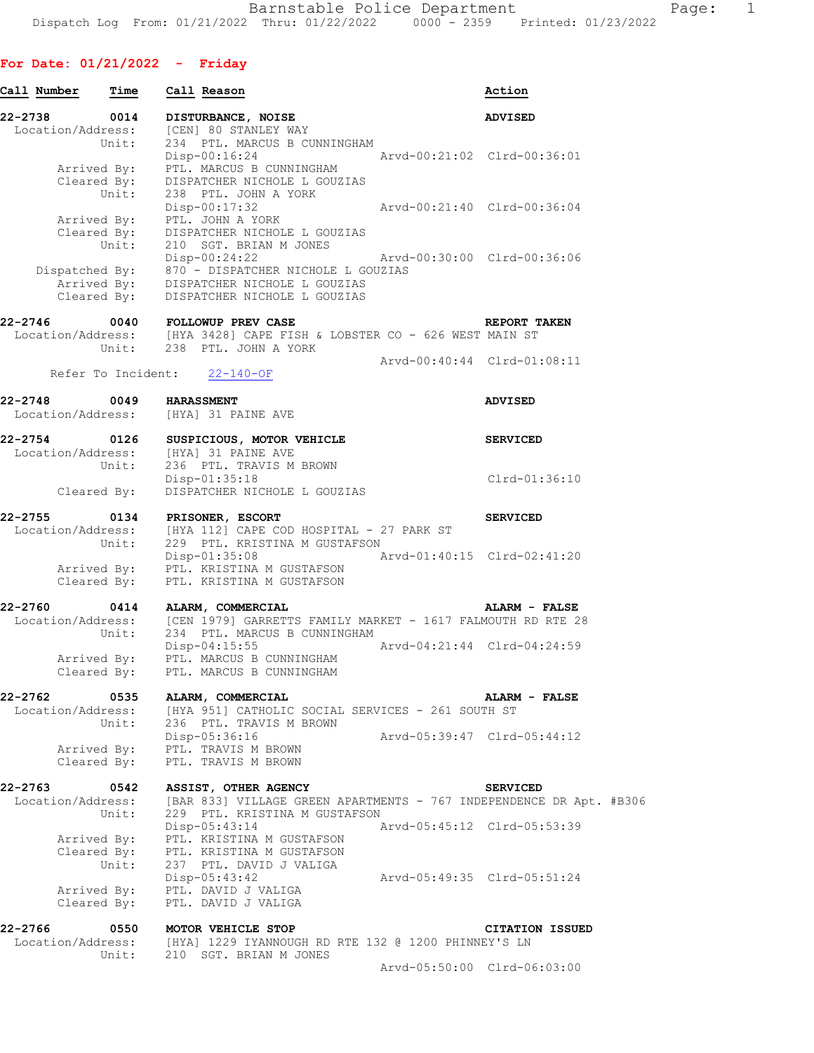## **For Date: 01/21/2022 - Friday**

| Call Number       | Time        | Call Reason                                                                                                                                                                               | Action                      |
|-------------------|-------------|-------------------------------------------------------------------------------------------------------------------------------------------------------------------------------------------|-----------------------------|
| 22-2738           | 0014        | DISTURBANCE, NOISE                                                                                                                                                                        | <b>ADVISED</b>              |
| Location/Address: | Unit:       | [CEN] 80 STANLEY WAY<br>234 PTL. MARCUS B CUNNINGHAM                                                                                                                                      |                             |
|                   |             | Disp-00:16:24<br>Arvd-00:21:02 Clrd-00:36:01                                                                                                                                              |                             |
|                   |             | Arrived By: PTL. MARCUS B CUNNINGHAM                                                                                                                                                      |                             |
|                   |             | Cleared By: DISPATCHER NICHOLE L GOUZIAS<br>Unit: 238 PTL. JOHN A YORK                                                                                                                    |                             |
|                   |             | Disp-00:17:32                                                                                                                                                                             | Arvd-00:21:40 Clrd-00:36:04 |
|                   | Arrived By: | PTL. JOHN A YORK                                                                                                                                                                          |                             |
|                   |             | Cleared By: DISPATCHER NICHOLE L GOUZIAS<br>Unit: 210 SGT. BRIAN M JONES                                                                                                                  |                             |
|                   |             | Disp-00:24:22                                                                                                                                                                             | Arvd-00:30:00 Clrd-00:36:06 |
|                   |             |                                                                                                                                                                                           |                             |
|                   |             | Dispatched By: 870 - DISPATCHER NICHOLE L GOUZIAS<br>Arrived By: DISPATCHER NICHOLE L GOUZIAS<br>Cleared By: DISPATCHER NICHOLE L GOUZIAS                                                 |                             |
|                   |             |                                                                                                                                                                                           |                             |
| 22-2746           |             | 0040 FOLLOWUP PREV CASE                                                                                                                                                                   | REPORT TAKEN                |
|                   |             | $\texttt{Location/Address:} \qquad \texttt{[HYA 3428]} \texttt{CAPE FISH} \& \texttt{LOBSTER CO} - 626 \texttt{WEST MAN ST} \\ \texttt{Unit:} \qquad 238 \quad \texttt{PTL. JOHN A YORK}$ |                             |
|                   |             |                                                                                                                                                                                           | Arvd-00:40:44 Clrd-01:08:11 |
|                   |             | Refer To Incident: 22-140-OF                                                                                                                                                              |                             |
|                   |             |                                                                                                                                                                                           |                             |
| 22-2748           |             | 0049 HARASSMENT<br>Location/Address: [HYA] 31 PAINE AVE                                                                                                                                   | <b>ADVISED</b>              |
|                   |             |                                                                                                                                                                                           |                             |
| 22-2754 0126      |             | SUSPICIOUS, MOTOR VEHICLE                                                                                                                                                                 | <b>SERVICED</b>             |
|                   |             | Location/Address: [HYA] 31 PAINE AVE<br>Unit: 236 PTL. TRAVIS M                                                                                                                           |                             |
|                   |             | 236 PTL. TRAVIS M BROWN<br>Disp-01:35:18                                                                                                                                                  | Clrd-01:36:10               |
|                   | Cleared By: | DISPATCHER NICHOLE L GOUZIAS                                                                                                                                                              |                             |
|                   |             |                                                                                                                                                                                           |                             |
|                   |             | 22-2755 0134 PRISONER, ESCORT<br>Location/Address: [HYA 112] CAPE COD HOSPITAL - 27 PARK ST                                                                                               | <b>SERVICED</b>             |
|                   | Unit:       | 229 PTL. KRISTINA M GUSTAFSON                                                                                                                                                             |                             |
|                   |             | $Disp-01:35:08$                                                                                                                                                                           | Arvd-01:40:15 Clrd-02:41:20 |
|                   |             | Arrived By: PTL. KRISTINA M GUSTAFSON                                                                                                                                                     |                             |
|                   |             | Cleared By: PTL. KRISTINA M GUSTAFSON                                                                                                                                                     |                             |
| 22-2760           | 0414        | ALARM, COMMERCIAL                                                                                                                                                                         | <b>ALARM - FALSE</b>        |
|                   |             | Location/Address: [CEN 1979] GARRETTS FAMILY MARKET - 1617 FALMOUTH RD RTE 28<br>Unit: 234 PTL. MARCUS B CUNNINGHAM                                                                       |                             |
|                   |             |                                                                                                                                                                                           |                             |
|                   |             | $Disp-04:15:55$<br>Arrived By: PTL. MARCUS B CUNNINGHAM                                                                                                                                   | Arvd-04:21:44 Clrd-04:24:59 |
|                   |             | Cleared By: PTL. MARCUS B CUNNINGHAM                                                                                                                                                      |                             |
|                   |             |                                                                                                                                                                                           |                             |
| $22 - 2762$       | 0535        | ALARM, COMMERCIAL<br>Location/Address: [HYA 951] CATHOLIC SOCIAL SERVICES - 261 SOUTH ST                                                                                                  | ALARM - FALSE               |
|                   | Unit:       | 236 PTL. TRAVIS M BROWN                                                                                                                                                                   |                             |
|                   |             | Disp-05:36:16                                                                                                                                                                             | Arvd-05:39:47 Clrd-05:44:12 |
|                   |             | Arrived By: PTL. TRAVIS M BROWN<br>Cleared By: PTL. TRAVIS M BROWN                                                                                                                        |                             |
|                   |             |                                                                                                                                                                                           |                             |
| 22-2763           | 0542        | ASSIST, OTHER AGENCY                                                                                                                                                                      | <b>SERVICED</b>             |
| Location/Address: |             | [BAR 833] VILLAGE GREEN APARTMENTS - 767 INDEPENDENCE DR Apt. #B306                                                                                                                       |                             |
|                   | Unit:       | 229 PTL. KRISTINA M GUSTAFSON                                                                                                                                                             |                             |
|                   |             | $Disp-05:43:14$<br>Arrived By: PTL. KRISTINA M GUSTAFSON                                                                                                                                  | Arvd-05:45:12 Clrd-05:53:39 |
|                   | Cleared By: |                                                                                                                                                                                           |                             |
|                   | Unit:       | PTL. KRISTINA M GUSTAFSON<br>237 PTL. DAVID J VALIGA<br>237 PTL. DAVID J VALIGA                                                                                                           |                             |
|                   |             | Disp-05:43:42                                                                                                                                                                             | Arvd-05:49:35 Clrd-05:51:24 |
|                   | Arrived By: | PTL. DAVID J VALIGA<br>Cleared By: PTL. DAVID J VALIGA                                                                                                                                    |                             |
|                   |             |                                                                                                                                                                                           |                             |
|                   |             | 22-2766 0550 MOTOR VEHICLE STOP                                                                                                                                                           | <b>CITATION ISSUED</b>      |
|                   |             | Location/Address: [HYA] 1229 IYANNOUGH RD RTE 132 @ 1200 PHINNEY'S LN                                                                                                                     |                             |
|                   | Unit:       | 210 SGT. BRIAN M JONES                                                                                                                                                                    | Arvd-05:50:00 Clrd-06:03:00 |
|                   |             |                                                                                                                                                                                           |                             |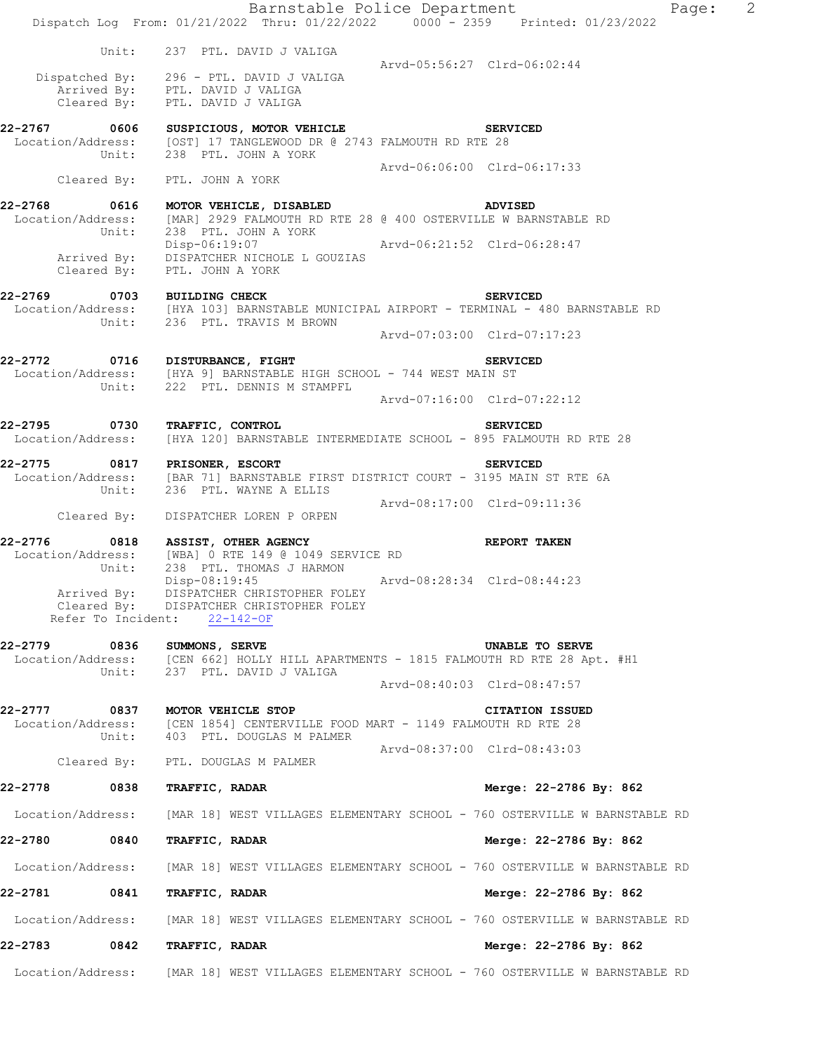|                             |                                                                                                                                                                                        | Barnstable Police Department<br>$\overline{2}$<br>Page:<br>Dispatch Log From: 01/21/2022 Thru: 01/22/2022 0000 - 2359 Printed: 01/23/2022 |
|-----------------------------|----------------------------------------------------------------------------------------------------------------------------------------------------------------------------------------|-------------------------------------------------------------------------------------------------------------------------------------------|
|                             | Unit: 237 PTL. DAVID J VALIGA                                                                                                                                                          |                                                                                                                                           |
|                             | Dispatched By: 296 - PTL. DAVID J VALIGA<br>Arrived By: PTL. DAVID J VALIGA<br>Cleared By: PTL. DAVID J VALIGA                                                                         | Arvd-05:56:27 Clrd-06:02:44                                                                                                               |
|                             | 22-2767 0606 SUSPICIOUS, MOTOR VEHICLE<br>Location/Address: [OST] 17 TANGLEWOOD DR @ 2743 FALMOUTH RD RTE 28<br>Unit: 238 PTL. JOHN A YORK                                             | <b>SERVICED</b>                                                                                                                           |
|                             | Cleared By: PTL. JOHN A YORK                                                                                                                                                           | Arvd-06:06:00 Clrd-06:17:33                                                                                                               |
| 22-2768 0616                | MOTOR VEHICLE, DISABLED ADVISED<br>Unit: 238 PTL. JOHN A YORK<br>Disp-06:19:07 Arvd-06:21:52 Clrd-06:28:47<br>Arrived By: DISPATCHER NICHOLE L GOUZIAS<br>Cleared By: PTL. JOHN A YORK | Location/Address: [MAR] 2929 FALMOUTH RD RTE 28 @ 400 OSTERVILLE W BARNSTABLE RD                                                          |
| 22-2769 0703 BUILDING CHECK | Unit: 236 PTL. TRAVIS M BROWN                                                                                                                                                          | <b>SERVICED</b><br>Location/Address: [HYA 103] BARNSTABLE MUNICIPAL AIRPORT - TERMINAL - 480 BARNSTABLE RD                                |
|                             |                                                                                                                                                                                        | Arvd-07:03:00 Clrd-07:17:23                                                                                                               |
|                             | 22-2772 0716 DISTURBANCE, FIGHT<br>Location/Address: [HYA 9] BARNSTABLE HIGH SCHOOL - 744 WEST MAIN ST<br>Unit: 222 PTL. DENNIS M STAMPFL                                              | <b>SERVICED</b>                                                                                                                           |
|                             |                                                                                                                                                                                        | Arvd-07:16:00 Clrd-07:22:12                                                                                                               |
| 22-2795 0730                | <b>TRAFFIC, CONTROL</b>                                                                                                                                                                | <b>SERVICED</b><br>Location/Address: [HYA 120] BARNSTABLE INTERMEDIATE SCHOOL - 895 FALMOUTH RD RTE 28                                    |
|                             | Unit: 236 PTL. WAYNE A ELLIS                                                                                                                                                           | 22-2775 0817 PRISONER, ESCORT SERVICED<br>Location/Address: [BAR 71] BARNSTABLE FIRST DISTRICT COURT - 3195 MAIN ST RTE 6A                |
|                             | Cleared By: DISPATCHER LOREN P ORPEN                                                                                                                                                   | Arvd-08:17:00 Clrd-09:11:36                                                                                                               |
|                             | 22-2776 0818 ASSIST, OTHER AGENCY<br>Location/Address: [WBA] 0 RTE 149 @ 1049 SERVICE RD<br>Unit: 238 PTL. THOMAS J HARMON                                                             | <b>REPORT TAKEN</b>                                                                                                                       |
| Arrived By:                 | Disp-08:19:45<br>DISPATCHER CHRISTOPHER FOLEY<br>Cleared By: DISPATCHER CHRISTOPHER FOLEY<br>Refer To Incident: 22-142-OF                                                              | Arvd-08:28:34 Clrd-08:44:23                                                                                                               |
| 22-2779 0836 SUMMONS, SERVE | Unit: 237 PTL. DAVID J VALIGA                                                                                                                                                          | UNABLE TO SERVE<br>Location/Address: [CEN 662] HOLLY HILL APARTMENTS - 1815 FALMOUTH RD RTE 28 Apt. #H1                                   |
|                             |                                                                                                                                                                                        | Arvd-08:40:03 Clrd-08:47:57                                                                                                               |
| 22-2777<br>0837             | <b>MOTOR VEHICLE STOP</b><br>Location/Address: [CEN 1854] CENTERVILLE FOOD MART - 1149 FALMOUTH RD RTE 28<br>Unit: 403 PTL. DOUGLAS M PALMER                                           | <b>CITATION ISSUED</b>                                                                                                                    |
|                             | Cleared By: PTL. DOUGLAS M PALMER                                                                                                                                                      | Arvd-08:37:00 Clrd-08:43:03                                                                                                               |
| 22-2778<br>0838             | TRAFFIC, RADAR                                                                                                                                                                         | Merge: 22-2786 By: 862                                                                                                                    |
| Location/Address:           |                                                                                                                                                                                        | [MAR 18] WEST VILLAGES ELEMENTARY SCHOOL - 760 OSTERVILLE W BARNSTABLE RD                                                                 |
| 22-2780<br>0840             | TRAFFIC, RADAR                                                                                                                                                                         | Merge: 22-2786 By: 862                                                                                                                    |
| Location/Address:           |                                                                                                                                                                                        | [MAR 18] WEST VILLAGES ELEMENTARY SCHOOL - 760 OSTERVILLE W BARNSTABLE RD                                                                 |
| 22-2781 0841                | TRAFFIC, RADAR                                                                                                                                                                         | Merge: 22-2786 By: 862                                                                                                                    |
| Location/Address:           |                                                                                                                                                                                        | [MAR 18] WEST VILLAGES ELEMENTARY SCHOOL - 760 OSTERVILLE W BARNSTABLE RD                                                                 |
| 22-2783 0842                | TRAFFIC, RADAR                                                                                                                                                                         | Merge: 22-2786 By: 862                                                                                                                    |
|                             |                                                                                                                                                                                        | Location/Address: [MAR 18] WEST VILLAGES ELEMENTARY SCHOOL - 760 OSTERVILLE W BARNSTABLE RD                                               |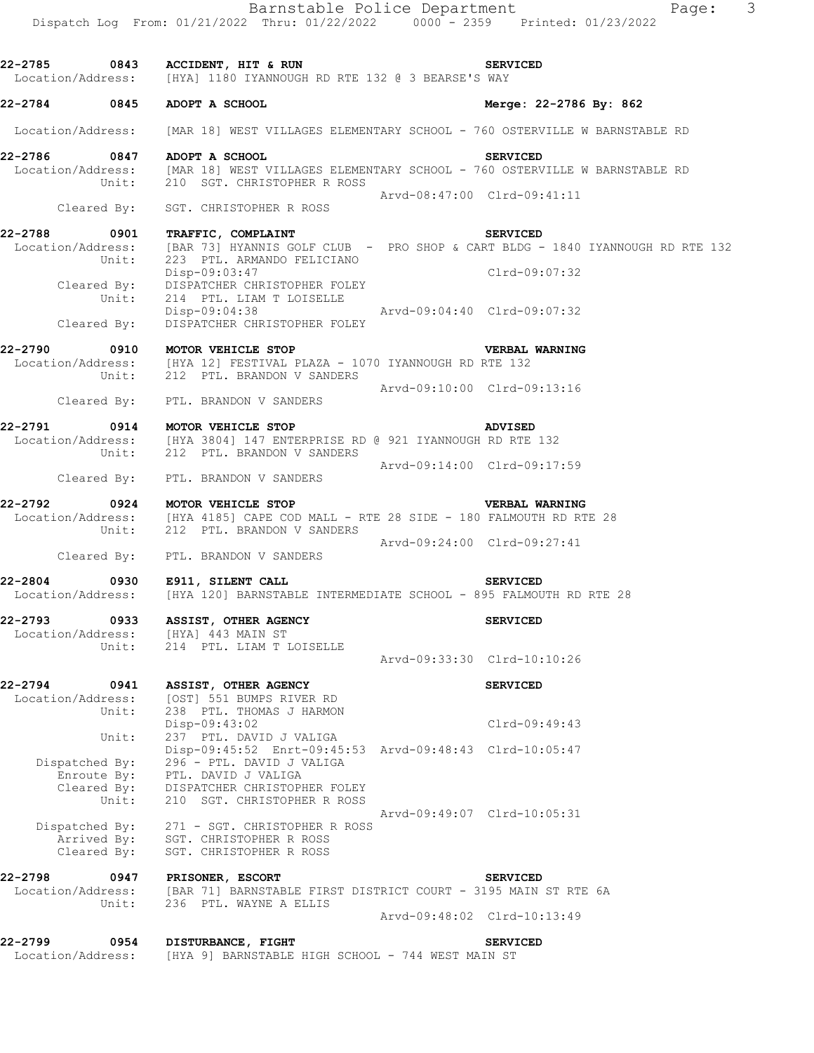|                                   |                            | Dispatch Log From: 01/21/2022 Thru: 01/22/2022 0000 - 2359 Printed: 01/23/2022                                                                     |                             | Barnstable Police Department     | $\overline{\mathbf{3}}$<br>Page: |
|-----------------------------------|----------------------------|----------------------------------------------------------------------------------------------------------------------------------------------------|-----------------------------|----------------------------------|----------------------------------|
|                                   |                            | 22-2785 0843 ACCIDENT, HIT & RUN<br>Location/Address: [HYA] 1180 IYANNOUGH RD RTE 132 @ 3 BEARSE'S WAY                                             |                             | <b>SERVICED</b>                  |                                  |
| 22-2784 0845                      |                            | ADOPT A SCHOOL                                                                                                                                     |                             | Merge: 22-2786 By: 862           |                                  |
| Location/Address:                 |                            | [MAR 18] WEST VILLAGES ELEMENTARY SCHOOL - 760 OSTERVILLE W BARNSTABLE RD                                                                          |                             |                                  |                                  |
| 22-2786<br>Location/Address:      | 0847                       | ADOPT A SCHOOL<br>[MAR 18] WEST VILLAGES ELEMENTARY SCHOOL - 760 OSTERVILLE W BARNSTABLE RD                                                        |                             | <b>SERVICED</b>                  |                                  |
|                                   | Unit:                      | 210 SGT. CHRISTOPHER R ROSS                                                                                                                        | Arvd-08:47:00 Clrd-09:41:11 |                                  |                                  |
|                                   | Cleared By:                | SGT. CHRISTOPHER R ROSS                                                                                                                            |                             |                                  |                                  |
| 22-2788<br>Location/Address:      | 0901<br>Unit:              | TRAFFIC, COMPLAINT<br>[BAR 73] HYANNIS GOLF CLUB - PRO SHOP & CART BLDG - 1840 IYANNOUGH RD RTE 132<br>223 PTL. ARMANDO FELICIANO<br>Disp-09:03:47 |                             | <b>SERVICED</b><br>Clrd-09:07:32 |                                  |
|                                   | Cleared By:<br>Unit:       | DISPATCHER CHRISTOPHER FOLEY<br>214 PTL. LIAM T LOISELLE                                                                                           |                             |                                  |                                  |
|                                   | Cleared By:                | Disp-09:04:38 Arvd-09:04:40 Clrd-09:07:32<br>DISPATCHER CHRISTOPHER FOLEY                                                                          |                             |                                  |                                  |
| 22-2790                           |                            | 0910 MOTOR VEHICLE STOP                                                                                                                            |                             | VERBAL WARNING                   |                                  |
|                                   | Unit:                      | Location/Address: [HYA 12] FESTIVAL PLAZA - 1070 IYANNOUGH RD RTE 132<br>212 PTL. BRANDON V SANDERS                                                | Arvd-09:10:00 Clrd-09:13:16 |                                  |                                  |
|                                   |                            | Cleared By: PTL. BRANDON V SANDERS                                                                                                                 |                             |                                  |                                  |
| 22-2791                           | Unit:                      | 0914 MOTOR VEHICLE STOP<br>Location/Address: [HYA 3804] 147 ENTERPRISE RD @ 921 IYANNOUGH RD RTE 132<br>212 PTL. BRANDON V SANDERS                 |                             | <b>ADVISED</b>                   |                                  |
|                                   |                            | Cleared By: PTL. BRANDON V SANDERS                                                                                                                 | Arvd-09:14:00 Clrd-09:17:59 |                                  |                                  |
| 22-2792                           | 0924                       | MOTOR VEHICLE STOP<br>Location/Address: [HYA 4185] CAPE COD MALL - RTE 28 SIDE - 180 FALMOUTH RD RTE 28<br>Unit: 212 PTL. BRANDON V SANDERS        |                             | VERBAL WARNING                   |                                  |
|                                   |                            | Cleared By: PTL. BRANDON V SANDERS                                                                                                                 | Arvd-09:24:00 Clrd-09:27:41 |                                  |                                  |
| 22-2804 0930                      |                            | E911, SILENT CALL<br>Location/Address: [HYA 120] BARNSTABLE INTERMEDIATE SCHOOL - 895 FALMOUTH RD RTE 28                                           |                             | <b>SERVICED</b>                  |                                  |
|                                   |                            | 22-2793 0933 ASSIST, OTHER AGENCY<br>Location/Address: [HYA] 443 MAIN ST                                                                           |                             | <b>SERVICED</b>                  |                                  |
|                                   | Unit:                      | 214 PTL. LIAM T LOISELLE                                                                                                                           | Arvd-09:33:30 Clrd-10:10:26 |                                  |                                  |
| 22-2794 0941<br>Location/Address: | Unit:                      | ASSIST, OTHER AGENCY<br>[OST] 551 BUMPS RIVER RD<br>238 PTL. THOMAS J HARMON                                                                       |                             | <b>SERVICED</b>                  |                                  |
|                                   | Unit:                      | Disp-09:43:02<br>237 PTL. DAVID J VALIGA                                                                                                           |                             | Clrd-09:49:43                    |                                  |
| Dispatched By:                    | Enroute By:                | Disp-09:45:52 Enrt-09:45:53 Arvd-09:48:43 Clrd-10:05:47<br>296 - PTL. DAVID J VALIGA<br>PTL. DAVID J VALIGA                                        |                             |                                  |                                  |
|                                   | Cleared By:<br>Unit:       | DISPATCHER CHRISTOPHER FOLEY<br>210 SGT. CHRISTOPHER R ROSS                                                                                        |                             |                                  |                                  |
|                                   | Arrived By:<br>Cleared By: | Dispatched By: 271 - SGT. CHRISTOPHER R ROSS<br>SGT. CHRISTOPHER R ROSS<br>SGT. CHRISTOPHER R ROSS                                                 | Arvd-09:49:07 Clrd-10:05:31 |                                  |                                  |
| 22-2798 0947<br>Location/Address: | Unit:                      | PRISONER, ESCORT<br>[BAR 71] BARNSTABLE FIRST DISTRICT COURT - 3195 MAIN ST RTE 6A<br>236 PTL. WAYNE A ELLIS                                       |                             | <b>SERVICED</b>                  |                                  |
|                                   |                            |                                                                                                                                                    | Arvd-09:48:02 Clrd-10:13:49 |                                  |                                  |
| 22-2799<br>Location/Address:      | 0954                       | DISTURBANCE, FIGHT<br>[HYA 9] BARNSTABLE HIGH SCHOOL - 744 WEST MAIN ST                                                                            |                             | <b>SERVICED</b>                  |                                  |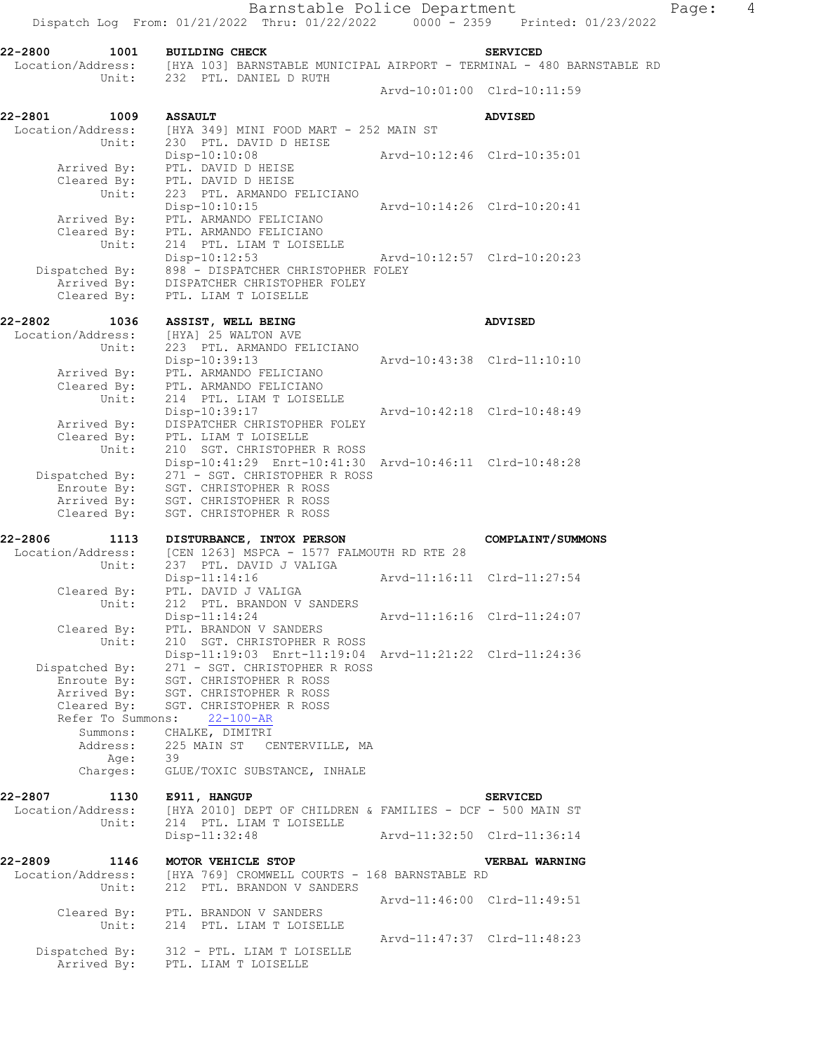**22-2800 1001 BUILDING CHECK SERVICED**  Location/Address: [HYA 103] BARNSTABLE MUNICIPAL AIRPORT - TERMINAL - 480 BARNSTABLE RD Unit: 232 PTL. DANIEL D RUTH Arvd-10:01:00 Clrd-10:11:59 **22-2801 1009 ASSAULT ADVISED**  Location/Address: [HYA 349] MINI FOOD MART - 252 MAIN ST Unit: 230 PTL. DAVID D HEISE Disp-10:10:08 Arvd-10:12:46 Clrd-10:35:01 Arrived By: PTL. DAVID D HEISE Cleared By: PTL. DAVID D HEISE Unit: 223 PTL. ARMANDO FELICIANO Disp-10:10:15 Arvd-10:14:26 Clrd-10:20:41 Arrived By: PTL. ARMANDO FELICIANO Cleared By: PTL. ARMANDO FELICIANO Unit: 214 PTL. LIAM T LOISELLE Disp-10:12:53 Arvd-10:12:57 Clrd-10:20:23 Dispatched By: 898 - DISPATCHER CHRISTOPHER FOLEY Arrived By: DISPATCHER CHRISTOPHER FOLEY Cleared By: PTL. LIAM T LOISELLE **22-2802 1036 ASSIST, WELL BEING ADVISED**<br>
Location/Address: [HYA] 25 WALTON AVE Location/Address: [HYA] 25 WALTON AVE Unit: 223 PTL. ARMANDO FELICIANO Disp-10:39:13 Arvd-10:43:38 Clrd-11:10:10 Arrived By: PTL. ARMANDO FELICIANO Cleared By: PTL. ARMANDO FELICIANO Unit: 214 PTL. LIAM T LOISELLE Disp-10:39:17 Arvd-10:42:18 Clrd-10:48:49 Arrived By: DISPATCHER CHRISTOPHER FOLEY Cleared By: PTL. LIAM T LOISELLE Unit: 210 SGT. CHRISTOPHER R ROSS Disp-10:41:29 Enrt-10:41:30 Arvd-10:46:11 Clrd-10:48:28 Disp-10:41:29 Enrt-10:41:30<br>Dispatched By: 271 - SGT. CHRISTOPHER R ROSS Enroute By: SGT. CHRISTOPHER R ROSS Arrived By: SGT. CHRISTOPHER R ROSS Cleared By: SGT. CHRISTOPHER R ROSS **22-2806 1113 DISTURBANCE, INTOX PERSON COMPLAINT/SUMMONS**  Location/Address: [CEN 1263] MSPCA - 1577 FALMOUTH RD RTE 28 Unit: 237 PTL. DAVID J VALIGA Disp-11:14:16 Arvd-11:16:11 Clrd-11:27:54 Cleared By: PTL. DAVID J VALIGA Unit: 212 PTL. BRANDON V SANDERS Disp-11:14:24 Arvd-11:16:16 Clrd-11:24:07 Cleared By: PTL. BRANDON V SANDERS Unit: 210 SGT. CHRISTOPHER R ROSS Disp-11:19:03 Enrt-11:19:04 Arvd-11:21:22 Clrd-11:24:36 Dispatched By: 271 - SGT. CHRISTOPHER R ROSS Enroute By: SGT. CHRISTOPHER R ROSS Arrived By: SGT. CHRISTOPHER R ROSS Cleared By: SGT. CHRISTOPHER R ROSS Refer To Summons: 22-100-AR Summons: CHALKE, DIMITRI Address: 225 MAIN ST CENTERVILLE, MA Age: 39 Charges: GLUE/TOXIC SUBSTANCE, INHALE **22-2807 1130 E911, HANGUP SERVICED**  Location/Address: [HYA 2010] DEPT OF CHILDREN & FAMILIES - DCF - 500 MAIN ST Unit: 214 PTL. LIAM T LOISELLE Disp-11:32:48 Arvd-11:32:50 Clrd-11:36:14 **22-2809 1146 MOTOR VEHICLE STOP VERBAL WARNING**  Location/Address: [HYA 769] CROMWELL COURTS - 168 BARNSTABLE RD Unit: 212 PTL. BRANDON V SANDERS Arvd-11:46:00 Clrd-11:49:51 Cleared By: PTL. BRANDON V SANDERS Unit: 214 PTL. LIAM T LOISELLE Arvd-11:47:37 Clrd-11:48:23 Dispatched By: 312 - PTL. LIAM T LOISELLE Arrived By: PTL. LIAM T LOISELLE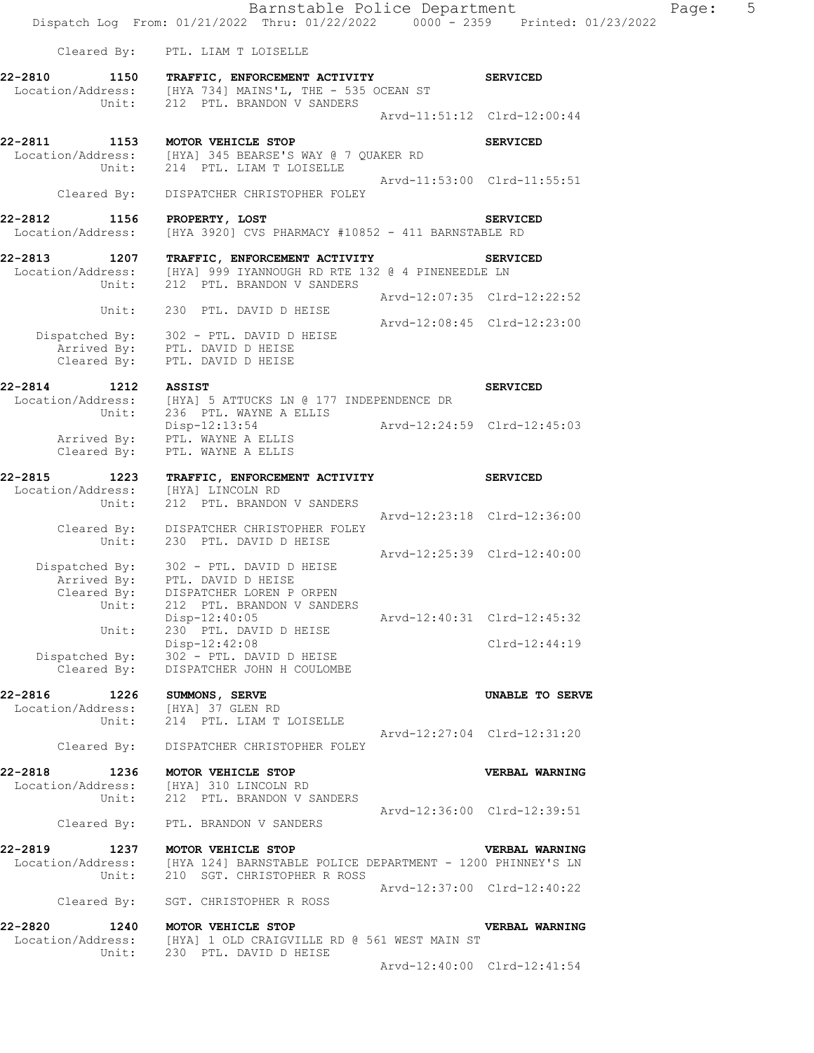|                                      | Dispatch Log From: 01/21/2022 Thru: 01/22/2022 0000 - 2359 Printed: 01/23/2022                   |                             |                             |  |
|--------------------------------------|--------------------------------------------------------------------------------------------------|-----------------------------|-----------------------------|--|
|                                      | Cleared By: PTL. LIAM T LOISELLE                                                                 |                             |                             |  |
|                                      | 22-2810 1150 TRAFFIC, ENFORCEMENT ACTIVITY                                                       |                             | <b>SERVICED</b>             |  |
|                                      | Unit: 212 PTL. BRANDON V SANDERS                                                                 |                             |                             |  |
|                                      |                                                                                                  | Arvd-11:51:12 Clrd-12:00:44 |                             |  |
| 22-2811 1153 MOTOR VEHICLE STOP      |                                                                                                  |                             | <b>SERVICED</b>             |  |
|                                      | Location/Address: [HYA] 345 BEARSE'S WAY @ 7 QUAKER RD<br>Unit: 214 PTL. LIAM T LOISELLE         |                             |                             |  |
|                                      |                                                                                                  | Arvd-11:53:00 Clrd-11:55:51 |                             |  |
| Cleared By:                          | DISPATCHER CHRISTOPHER FOLEY                                                                     |                             |                             |  |
| 22-2812<br>1156                      | PROPERTY, LOST                                                                                   |                             | <b>SERVICED</b>             |  |
| Location/Address:                    | [HYA 3920] CVS PHARMACY #10852 - 411 BARNSTABLE RD                                               |                             |                             |  |
| 22-2813 1207                         | TRAFFIC, ENFORCEMENT ACTIVITY                                                                    |                             | <b>SERVICED</b>             |  |
| Unit:                                | Location/Address: [HYA] 999 IYANNOUGH RD RTE 132 @ 4 PINENEEDLE LN<br>212 PTL. BRANDON V SANDERS |                             |                             |  |
|                                      |                                                                                                  | Arvd-12:07:35 Clrd-12:22:52 |                             |  |
| Unit:                                | 230 PTL. DAVID D HEISE                                                                           | Arvd-12:08:45 Clrd-12:23:00 |                             |  |
|                                      | Dispatched By: 302 - PTL. DAVID D HEISE                                                          |                             |                             |  |
|                                      | Arrived By: PTL. DAVID D HEISE<br>Cleared By: PTL. DAVID D HEISE                                 |                             |                             |  |
| 22-2814 1212 ASSIST                  |                                                                                                  |                             | <b>SERVICED</b>             |  |
|                                      | Location/Address: [HYA] 5 ATTUCKS LN @ 177 INDEPENDENCE DR                                       |                             |                             |  |
| Unit:                                | 236 PTL. WAYNE A ELLIS<br>Disp-12:13:54                                                          | Arvd-12:24:59 Clrd-12:45:03 |                             |  |
|                                      | Arrived By: PTL. WAYNE A ELLIS                                                                   |                             |                             |  |
| Cleared By:                          | PTL. WAYNE A ELLIS                                                                               |                             |                             |  |
| 22-2815<br>1223<br>Location/Address: | TRAFFIC, ENFORCEMENT ACTIVITY                                                                    |                             | <b>SERVICED</b>             |  |
| Unit:                                | [HYA] LINCOLN RD<br>212 PTL. BRANDON V SANDERS                                                   |                             |                             |  |
|                                      | Cleared By: DISPATCHER CHRISTOPHER FOLEY                                                         | Arvd-12:23:18 Clrd-12:36:00 |                             |  |
| Unit:                                | 230 PTL. DAVID D HEISE                                                                           |                             |                             |  |
|                                      | Dispatched By: 302 - PTL. DAVID D HEISE                                                          | Arvd-12:25:39 Clrd-12:40:00 |                             |  |
| Arrived By:                          | PTL. DAVID D HEISE                                                                               |                             |                             |  |
| Cleared By:<br>Unit:                 | DISPATCHER LOREN P ORPEN<br>212 PTL. BRANDON V SANDERS                                           |                             |                             |  |
| Unit:                                | $Disp-12:40:05$<br>230 PTL. DAVID D HEISE                                                        | Arvd-12:40:31 Clrd-12:45:32 |                             |  |
|                                      | Disp-12:42:08                                                                                    |                             | $Clrd-12:44:19$             |  |
| Dispatched By:<br>Cleared By:        | 302 - PTL. DAVID D HEISE<br>DISPATCHER JOHN H COULOMBE                                           |                             |                             |  |
|                                      |                                                                                                  |                             |                             |  |
| 22-2816<br>1226<br>Location/Address: | SUMMONS, SERVE<br>[HYA] 37 GLEN RD                                                               |                             | UNABLE TO SERVE             |  |
| Unit:                                | 214 PTL. LIAM T LOISELLE                                                                         |                             |                             |  |
| Cleared By:                          | DISPATCHER CHRISTOPHER FOLEY                                                                     |                             | Arvd-12:27:04 Clrd-12:31:20 |  |
| 22-2818<br>1236                      | MOTOR VEHICLE STOP                                                                               |                             | VERBAL WARNING              |  |
|                                      | Location/Address: [HYA] 310 LINCOLN RD                                                           |                             |                             |  |
| Unit:                                | 212 PTL. BRANDON V SANDERS                                                                       |                             | Arvd-12:36:00 Clrd-12:39:51 |  |
| Cleared By:                          | PTL. BRANDON V SANDERS                                                                           |                             |                             |  |
| 22-2819<br>1237                      | MOTOR VEHICLE STOP                                                                               |                             | VERBAL WARNING              |  |
| Location/Address:                    | [HYA 124] BARNSTABLE POLICE DEPARTMENT - 1200 PHINNEY'S LN                                       |                             |                             |  |
| Unit:                                | 210 SGT. CHRISTOPHER R ROSS                                                                      | Arvd-12:37:00 Clrd-12:40:22 |                             |  |
| Cleared By:                          | SGT. CHRISTOPHER R ROSS                                                                          |                             |                             |  |
| 22-2820                              | 1240 MOTOR VEHICLE STOP                                                                          |                             | VERBAL WARNING              |  |
| Location/Address:<br>Unit:           | [HYA] 1 OLD CRAIGVILLE RD @ 561 WEST MAIN ST<br>230 PTL. DAVID D HEISE                           |                             |                             |  |
|                                      |                                                                                                  |                             | Arvd-12:40:00 Clrd-12:41:54 |  |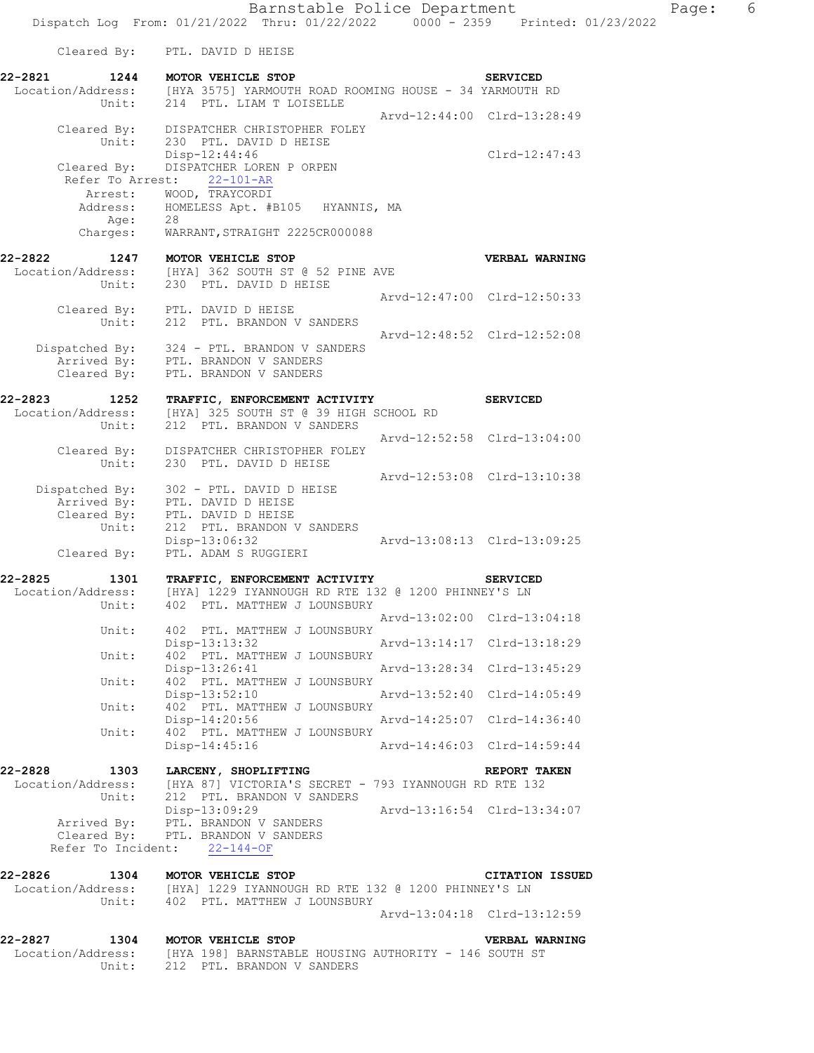Barnstable Police Department Fage: 6 Dispatch Log From: 01/21/2022 Thru: 01/22/2022 0000 - 2359 Printed: 01/23/2022 Cleared By: PTL. DAVID D HEISE **22-2821 1244 MOTOR VEHICLE STOP SERVICED**  Location/Address: [HYA 3575] YARMOUTH ROAD ROOMING HOUSE - 34 YARMOUTH RD Unit: 214 PTL. LIAM T LOISELLE Arvd-12:44:00 Clrd-13:28:49 Cleared By: DISPATCHER CHRISTOPHER FOLEY Unit: 230 PTL. DAVID D HEISE Disp-12:44:46 Clrd-12:47:43 Cleared By: DISPATCHER LOREN P ORPEN Refer To Arrest: 22-101-AR Arrest: WOOD, TRAYCORDI Address: HOMELESS Apt. #B105 HYANNIS, MA Age: 28 Charges: WARRANT, STRAIGHT 2225CR000088 **22-2822 1247 MOTOR VEHICLE STOP VERBAL WARNING**  Location/Address: [HYA] 362 SOUTH ST @ 52 PINE AVE Unit: 230 PTL. DAVID D HEISE Arvd-12:47:00 Clrd-12:50:33 Cleared By: PTL. DAVID D HEISE Unit: 212 PTL. BRANDON V SANDERS Arvd-12:48:52 Clrd-12:52:08 Dispatched By: 324 - PTL. BRANDON V SANDERS Arrived By: PTL. BRANDON V SANDERS Cleared By: PTL. BRANDON V SANDERS **22-2823 1252 TRAFFIC, ENFORCEMENT ACTIVITY SERVICED**  Location/Address: [HYA] 325 SOUTH ST @ 39 HIGH SCHOOL RD Unit: 212 PTL. BRANDON V SANDERS Arvd-12:52:58 Clrd-13:04:00 Cleared By: DISPATCHER CHRISTOPHER FOLEY Unit: 230 PTL. DAVID D HEISE Arvd-12:53:08 Clrd-13:10:38 Dispatched By: 302 - PTL. DAVID D HEISE Arrived By: PTL. DAVID D HEISE Cleared By: PTL. DAVID D HEISE Unit: 212 PTL. BRANDON V SANDERS Disp-13:06:32 Arvd-13:08:13 Clrd-13:09:25 Cleared By: PTL. ADAM S RUGGIERI **22-2825 1301 TRAFFIC, ENFORCEMENT ACTIVITY SERVICED**  Location/Address: [HYA] 1229 IYANNOUGH RD RTE 132 @ 1200 PHINNEY'S LN 402 PTL. MATTHEW J LOUNSBURY Arvd-13:02:00 Clrd-13:04:18 Unit: 402 PTL. MATTHEW J LOUNSBURY<br>Disp-13:13:32 Disp-13:13:32 Arvd-13:14:17 Clrd-13:18:29 Unit: 402 PTL. MATTHEW J LOUNSBURY Disp-13:26:41 Arvd-13:28:34 Clrd-13:45:29<br>Unit: 402 PTL. MATTHEW J LOUNSBURY 402 PTL. MATTHEW J LOUNSBURY Disp-13:52:10 Arvd-13:52:40 Clrd-14:05:49 Unit: 402 PTL. MATTHEW J LOUNSBURY Disp-14:20:56 Arvd-14:25:07 Clrd-14:36:40<br>Unit: 402 PTL. MATTHEW J LOUNSBURY 402 PTL. MATTHEW J LOUNSBURY<br>Disp-14:45:16 Disp-14:45:16 Arvd-14:46:03 Clrd-14:59:44 **22-2828 1303 LARCENY, SHOPLIFTING REPORT TAKEN**  Location/Address: [HYA 87] VICTORIA'S SECRET - 793 IYANNOUGH RD RTE 132 Unit: 212 PTL. BRANDON V SANDERS Disp-13:09:29 Arvd-13:16:54 Clrd-13:34:07 Arrived By: PTL. BRANDON V SANDERS Cleared By: PTL. BRANDON V SANDERS Refer To Incident: 22-144-OF **22-2826 1304 MOTOR VEHICLE STOP CITATION ISSUED**  Location/Address: [HYA] 1229 IYANNOUGH RD RTE 132 @ 1200 PHINNEY'S LN Unit: 402 PTL. MATTHEW J LOUNSBURY Arvd-13:04:18 Clrd-13:12:59 **22-2827 1304 MOTOR VEHICLE STOP VERBAL WARNING**  Location/Address: [HYA 198] BARNSTABLE HOUSING AUTHORITY - 146 SOUTH ST

Unit: 212 PTL. BRANDON V SANDERS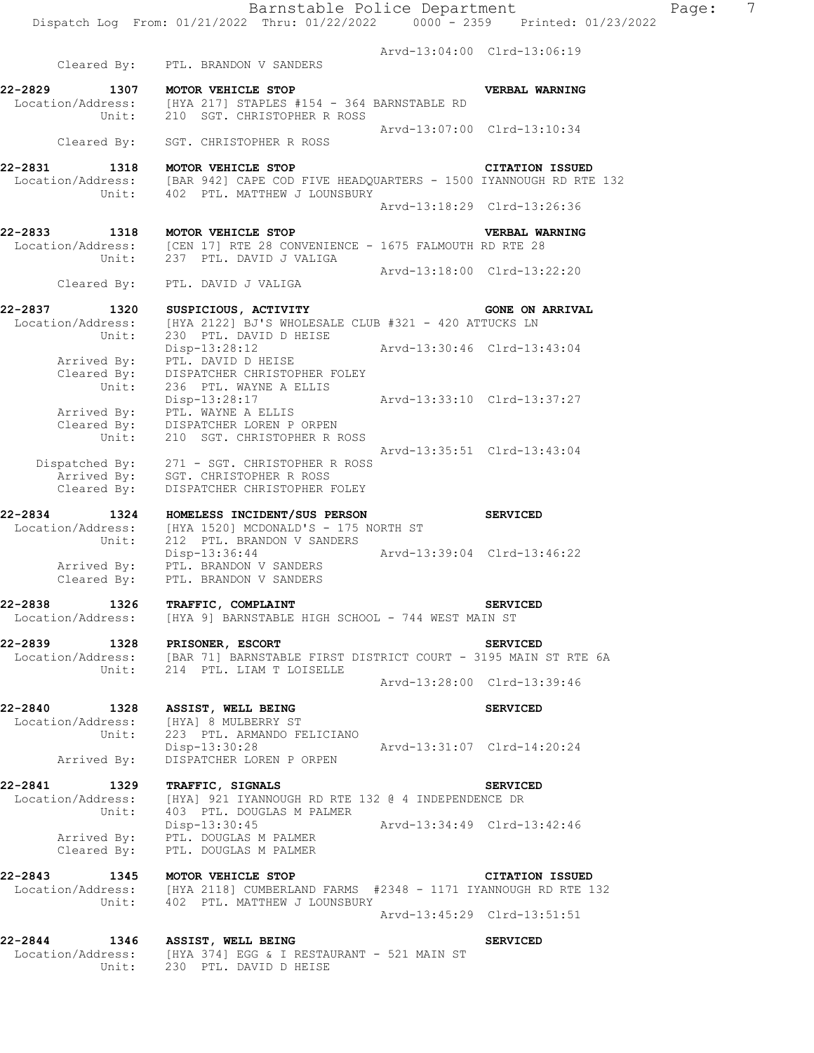Barnstable Police Department Page: 7 Dispatch Log From: 01/21/2022 Thru: 01/22/2022 0000 - 2359 Printed: 01/23/2022 Arvd-13:04:00 Clrd-13:06:19 Cleared By: PTL. BRANDON V SANDERS **22-2829 1307 MOTOR VEHICLE STOP VERBAL WARNING**  Location/Address: [HYA 217] STAPLES #154 - 364 BARNSTABLE RD Unit: 210 SGT. CHRISTOPHER R ROSS Arvd-13:07:00 Clrd-13:10:34 Cleared By: SGT. CHRISTOPHER R ROSS **22-2831 1318 MOTOR VEHICLE STOP CITATION ISSUED**  Location/Address: [BAR 942] CAPE COD FIVE HEADQUARTERS - 1500 IYANNOUGH RD RTE 132 Unit: 402 PTL. MATTHEW J LOUNSBURY Arvd-13:18:29 Clrd-13:26:36 **22-2833 1318 MOTOR VEHICLE STOP VERBAL WARNING**  Location/Address: [CEN 17] RTE 28 CONVENIENCE - 1675 FALMOUTH RD RTE 28 Unit: 237 PTL. DAVID J VALIGA Arvd-13:18:00 Clrd-13:22:20 Cleared By: PTL. DAVID J VALIGA 22-2837 1320 SUSPICIOUS, ACTIVITY **122-2837** GONE ON ARRIVAL Location/Address: [HYA 2122] BJ'S WHOLESALE CLUB #321 - 420 ATTUCKS LN Unit: 230 PTL. DAVID D HEISE Disp-13:28:12 Arvd-13:30:46 Clrd-13:43:04 Arrived By: PTL. DAVID D HEISE Cleared By: DISPATCHER CHRISTOPHER FOLEY Unit: 236 PTL. WAYNE A ELLIS<br>Disp-13:28:17 Disp-13:28:17 Arvd-13:33:10 Clrd-13:37:27 Arrived By: PTL. WAYNE A ELLIS Cleared By: DISPATCHER LOREN P ORPEN Unit: 210 SGT. CHRISTOPHER R ROSS Arvd-13:35:51 Clrd-13:43:04 Dispatched By: 271 - SGT. CHRISTOPHER R ROSS Arrived By: SGT. CHRISTOPHER R ROSS Cleared By: DISPATCHER CHRISTOPHER FOLEY **22-2834 1324 HOMELESS INCIDENT/SUS PERSON SERVICED**  Location/Address: [HYA 1520] MCDONALD'S - 175 NORTH ST<br>Unit: 212 PTL. BRANDON V SANDERS 212 PTL. BRANDON V SANDERS Disp-13:36:44 Arvd-13:39:04 Clrd-13:46:22 Arrived By: PTL. BRANDON V SANDERS Cleared By: PTL. BRANDON V SANDERS **22-2838 1326 TRAFFIC, COMPLAINT SERVICED**  Location/Address: [HYA 9] BARNSTABLE HIGH SCHOOL - 744 WEST MAIN ST **22-2839 1328 PRISONER, ESCORT SERVICED**  Location/Address: [BAR 71] BARNSTABLE FIRST DISTRICT COURT - 3195 MAIN ST RTE 6A Unit: 214 PTL. LIAM T LOISELLE Arvd-13:28:00 Clrd-13:39:46 **22-2840 1328 ASSIST, WELL BEING SERVICED**  Location/Address: [HYA] 8 MULBERRY ST Unit: 223 PTL. ARMANDO FELICIANO Disp-13:30:28 Arvd-13:31:07 Clrd-14:20:24 Arrived By: DISPATCHER LOREN P ORPEN **22-2841 1329 TRAFFIC, SIGNALS SERVICED**  Location/Address: [HYA] 921 IYANNOUGH RD RTE 132 @ 4 INDEPENDENCE DR Unit: 403 PTL. DOUGLAS M PALMER Disp-13:30:45 Arvd-13:34:49 Clrd-13:42:46 Arrived By: PTL. DOUGLAS M PALMER Cleared By: PTL. DOUGLAS M PALMER **22-2843 1345 MOTOR VEHICLE STOP CITATION ISSUED**  Location/Address: [HYA 2118] CUMBERLAND FARMS #2348 - 1171 IYANNOUGH RD RTE 132 Unit: 402 PTL. MATTHEW J LOUNSBURY Arvd-13:45:29 Clrd-13:51:51 **22-2844 1346 ASSIST, WELL BEING SERVICED**  Location/Address: [HYA 374] EGG & I RESTAURANT - 521 MAIN ST

Unit: 230 PTL. DAVID D HEISE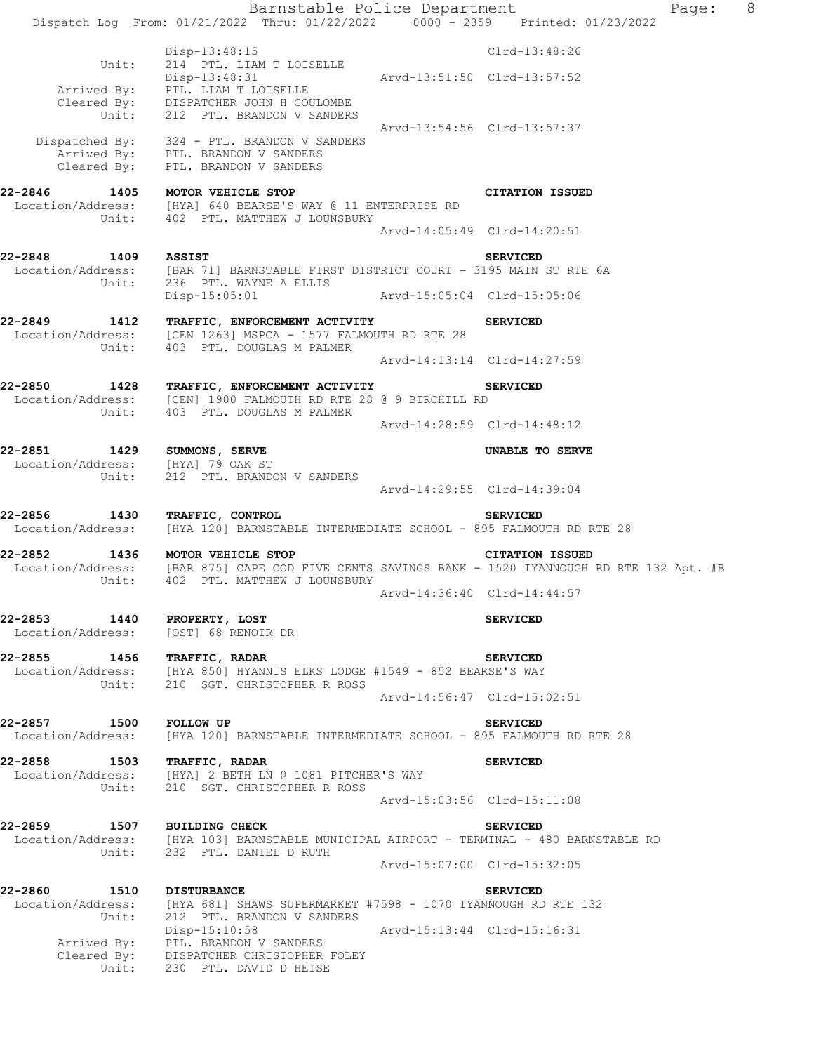Barnstable Police Department Fage: 8 Dispatch Log From: 01/21/2022 Thru: 01/22/2022 0000 - 2359 Printed: 01/23/2022 Disp-13:48:15 Clrd-13:48:26 Unit: 214 PTL. LIAM T LOISELLE Disp-13:48:31 Arvd-13:51:50 Clrd-13:57:52 Arrived By: PTL. LIAM T LOISELLE Cleared By: DISPATCHER JOHN H COULOMBE Unit: 212 PTL. BRANDON V SANDERS Arvd-13:54:56 Clrd-13:57:37 Dispatched By: 324 - PTL. BRANDON V SANDERS Arrived By: PTL. BRANDON V SANDERS Cleared By: PTL. BRANDON V SANDERS **22-2846 1405 MOTOR VEHICLE STOP CITATION ISSUED**  Location/Address: [HYA] 640 BEARSE'S WAY @ 11 ENTERPRISE RD Unit: 402 PTL. MATTHEW J LOUNSBURY Arvd-14:05:49 Clrd-14:20:51 **22-2848 1409 ASSIST SERVICED**  Location/Address: [BAR 71] BARNSTABLE FIRST DISTRICT COURT - 3195 MAIN ST RTE 6A Unit: 236 PTL. WAYNE A ELLIS Disp-15:05:01 Arvd-15:05:04 Clrd-15:05:06 **22-2849 1412 TRAFFIC, ENFORCEMENT ACTIVITY SERVICED**  Location/Address: [CEN 1263] MSPCA - 1577 FALMOUTH RD RTE 28 Unit: 403 PTL. DOUGLAS M PALMER Arvd-14:13:14 Clrd-14:27:59 **22-2850 1428 TRAFFIC, ENFORCEMENT ACTIVITY SERVICED**  Location/Address: [CEN] 1900 FALMOUTH RD RTE 28 @ 9 BIRCHILL RD Unit: 403 PTL. DOUGLAS M PALMER Arvd-14:28:59 Clrd-14:48:12 **22-2851 1429 SUMMONS, SERVE UNABLE TO SERVE**  Location/Address: [HYA] 79 OAK ST Unit: 212 PTL. BRANDON V SANDERS Arvd-14:29:55 Clrd-14:39:04 **22-2856 1430 TRAFFIC, CONTROL SERVICED**  Location/Address: [HYA 120] BARNSTABLE INTERMEDIATE SCHOOL - 895 FALMOUTH RD RTE 28 **22-2852 1436 MOTOR VEHICLE STOP CITATION ISSUED**  Location/Address: [BAR 875] CAPE COD FIVE CENTS SAVINGS BANK - 1520 IYANNOUGH RD RTE 132 Apt. #B Unit: 402 PTL. MATTHEW J LOUNSBURY Arvd-14:36:40 Clrd-14:44:57 **22-2853 1440 PROPERTY, LOST SERVICED**  Location/Address: [OST] 68 RENOIR DR **22-2855 1456 TRAFFIC, RADAR SERVICED**  Location/Address: [HYA 850] HYANNIS ELKS LODGE #1549 - 852 BEARSE'S WAY Unit: 210 SGT. CHRISTOPHER R ROSS Arvd-14:56:47 Clrd-15:02:51 **22-2857 1500 FOLLOW UP SERVICED**  Location/Address: [HYA 120] BARNSTABLE INTERMEDIATE SCHOOL - 895 FALMOUTH RD RTE 28 **22-2858 1503 TRAFFIC, RADAR SERVICED**  Location/Address: [HYA] 2 BETH LN @ 1081 PITCHER'S WAY Unit: 210 SGT. CHRISTOPHER R ROSS Arvd-15:03:56 Clrd-15:11:08 **22-2859 1507 BUILDING CHECK SERVICED**  Location/Address: [HYA 103] BARNSTABLE MUNICIPAL AIRPORT - TERMINAL - 480 BARNSTABLE RD Unit: 232 PTL. DANIEL D RUTH Arvd-15:07:00 Clrd-15:32:05 **22-2860 1510 DISTURBANCE SERVICED**  [HYA 681] SHAWS SUPERMARKET #7598 - 1070 IYANNOUGH RD RTE 132 Location/Address: [HYA 681] SHAWS SUPERMARKET ·<br>Unit: 212 PTL. BRANDON V SANDERS<br>Disp-15:10:58 Arvd-15:13:44 Clrd-15:16:31 Arrived By: PTL. BRANDON V SANDERS Cleared By: DISPATCHER CHRISTOPHER FOLEY Unit: 230 PTL. DAVID D HEISE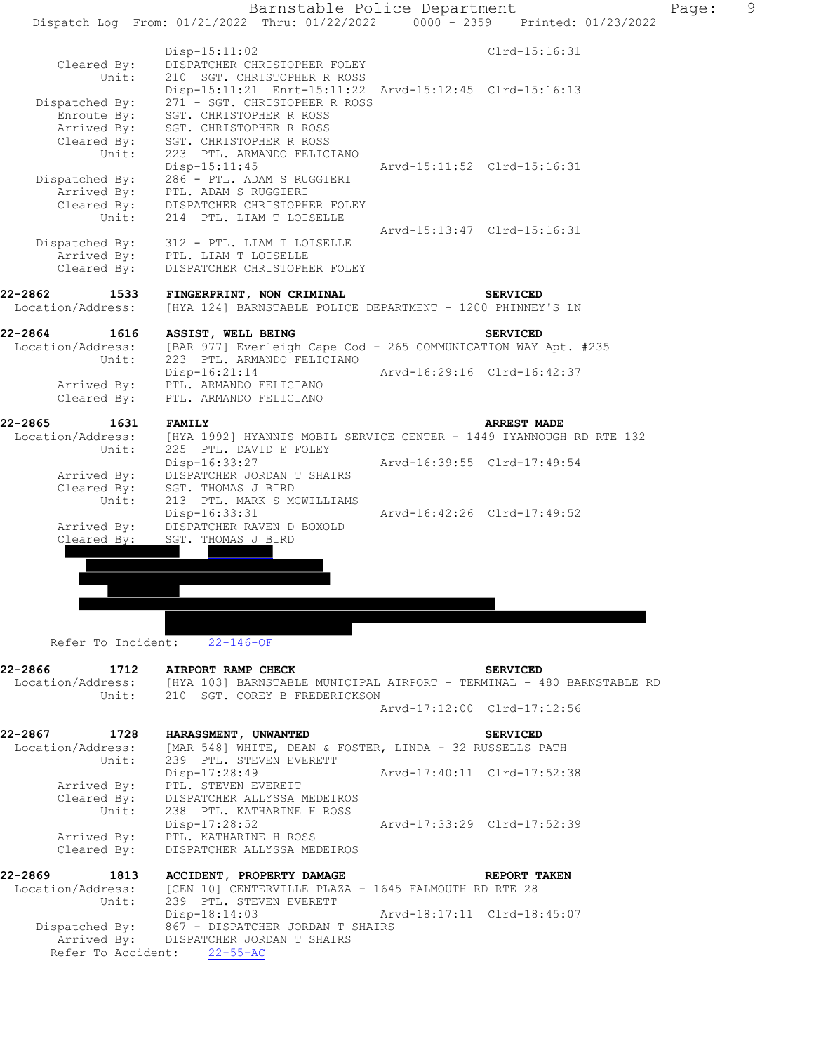

Refer To Incident: 22-146-OF

| 22-2866 1712 AIRPORT RAMP CHECK | Unit: 210 SGT. COREY B FREDERICKSON                                                                         | <b>SERVICED</b><br>Location/Address: [HYA 103] BARNSTABLE MUNICIPAL AIRPORT - TERMINAL - 480 BARNSTABLE RD |
|---------------------------------|-------------------------------------------------------------------------------------------------------------|------------------------------------------------------------------------------------------------------------|
|                                 |                                                                                                             | Arvd-17:12:00 Clrd-17:12:56                                                                                |
|                                 | 22-2867 1728 HARASSMENT, UNWANTED                                                                           | <b>SERVICED</b>                                                                                            |
|                                 | Location/Address: [MAR 548] WHITE, DEAN & FOSTER, LINDA - 32 RUSSELLS PATH<br>Unit: 239 PTL. STEVEN EVERETT |                                                                                                            |
|                                 |                                                                                                             | Disp-17:28:49 Arvd-17:40:11 Clrd-17:52:38                                                                  |
|                                 | Arrived By: PTL. STEVEN EVERETT                                                                             |                                                                                                            |
|                                 | Cleared By: DISPATCHER ALLYSSA MEDEIROS                                                                     |                                                                                                            |
|                                 | Unit: 238 PTL. KATHARINE H ROSS                                                                             |                                                                                                            |
|                                 |                                                                                                             | Disp-17:28:52<br>Arvd-17:33:29<br>Clrd-17:52:39                                                            |
|                                 | Arrived By: PTL. KATHARINE H ROSS                                                                           |                                                                                                            |
|                                 | Cleared By: DISPATCHER ALLYSSA MEDEIROS                                                                     |                                                                                                            |
|                                 | 22-2869 1813 ACCIDENT, PROPERTY DAMAGE REPORT TAKEN                                                         |                                                                                                            |
|                                 | Location/Address: [CEN 10] CENTERVILLE PLAZA - 1645 FALMOUTH RD RTE 28<br>Unit: 239 PTL. STEVEN EVERETT     |                                                                                                            |
|                                 |                                                                                                             | Disp-18:14:03 Arvd-18:17:11 Clrd-18:45:07                                                                  |
|                                 | Dispatched By: 867 - DISPATCHER JORDAN T SHAIRS                                                             |                                                                                                            |
|                                 | Arrived By: DISPATCHER JORDAN T SHAIRS                                                                      |                                                                                                            |
|                                 | Refer To Accident: 22-55-AC                                                                                 |                                                                                                            |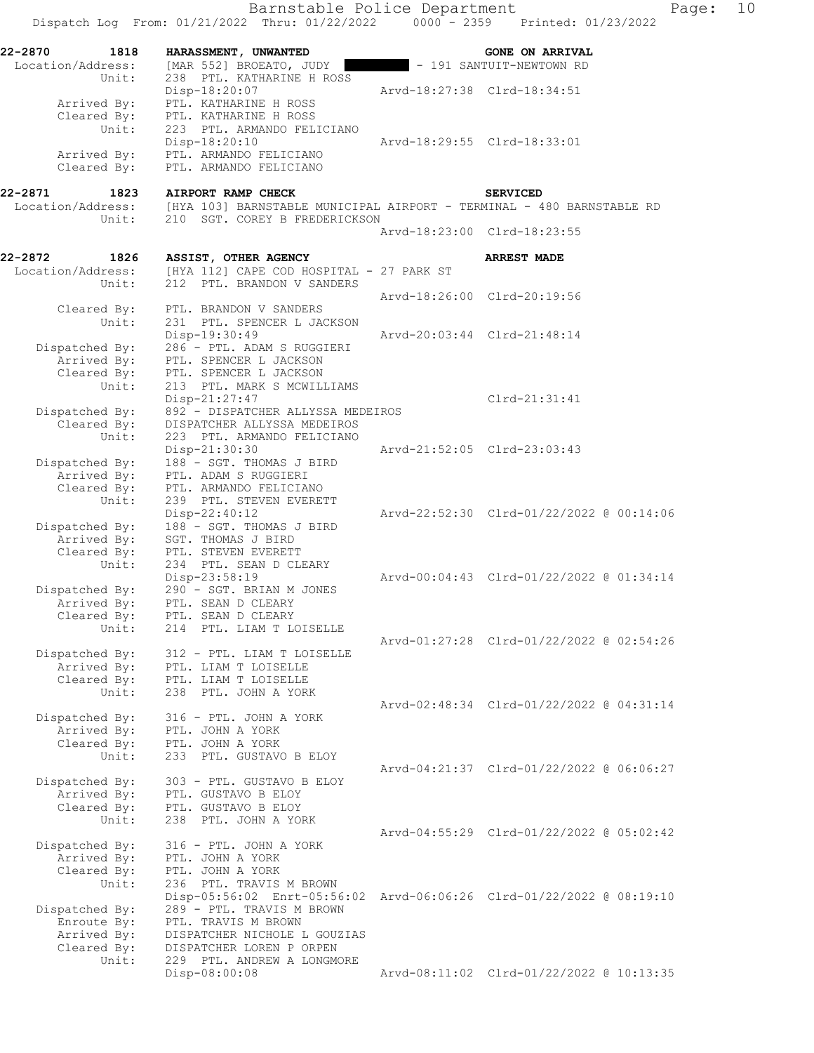|                            | Barnstable Police Department<br>Dispatch Log From: 01/21/2022 Thru: 01/22/2022                  | Page:<br>$0000 - 2359$ Printed: 01/23/2022 | 10 |
|----------------------------|-------------------------------------------------------------------------------------------------|--------------------------------------------|----|
| 22-2870<br>1818            | HARASSMENT, UNWANTED                                                                            | <b>GONE ON ARRIVAL</b>                     |    |
| Location/Address:<br>Unit: | [MAR 552] BROEATO, JUDY<br>238 PTL. KATHARINE H ROSS                                            | - 191 SANTUIT-NEWTOWN RD                   |    |
|                            | Disp-18:20:07                                                                                   | Arvd-18:27:38 Clrd-18:34:51                |    |
| Arrived By:<br>Cleared By: | PTL. KATHARINE H ROSS<br>PTL. KATHARINE H ROSS                                                  |                                            |    |
| Unit:                      | 223 PTL. ARMANDO FELICIANO                                                                      |                                            |    |
|                            | Disp-18:20:10                                                                                   | Arvd-18:29:55 Clrd-18:33:01                |    |
| Arrived By:<br>Cleared By: | PTL. ARMANDO FELICIANO<br>PTL. ARMANDO FELICIANO                                                |                                            |    |
| 1823<br>22-2871            | AIRPORT RAMP CHECK                                                                              | <b>SERVICED</b>                            |    |
|                            | Location/Address: [HYA 103] BARNSTABLE MUNICIPAL AIRPORT - TERMINAL - 480 BARNSTABLE RD         |                                            |    |
| Unit:                      | 210 SGT. COREY B FREDERICKSON                                                                   |                                            |    |
|                            |                                                                                                 | Arvd-18:23:00 Clrd-18:23:55                |    |
| 22-2872<br>1826            | ASSIST, OTHER AGENCY                                                                            | <b>ARREST MADE</b>                         |    |
| Location/Address:          | [HYA 112] CAPE COD HOSPITAL - 27 PARK ST                                                        |                                            |    |
| Unit:                      | 212 PTL. BRANDON V SANDERS                                                                      | Arvd-18:26:00 Clrd-20:19:56                |    |
| Cleared By:                | PTL. BRANDON V SANDERS                                                                          |                                            |    |
| Unit:                      | 231 PTL. SPENCER L JACKSON                                                                      |                                            |    |
|                            | Disp-19:30:49                                                                                   | Arvd-20:03:44 Clrd-21:48:14                |    |
| Dispatched By:             | 286 - PTL. ADAM S RUGGIERI                                                                      |                                            |    |
| Arrived By:<br>Cleared By: | PTL. SPENCER L JACKSON<br>PTL. SPENCER L JACKSON                                                |                                            |    |
| Unit:                      | 213 PTL. MARK S MCWILLIAMS                                                                      |                                            |    |
|                            | $Disp-21:27:47$                                                                                 | $Clrd-21:31:41$                            |    |
| Dispatched By:             | 892 - DISPATCHER ALLYSSA MEDEIROS                                                               |                                            |    |
| Cleared By:<br>Unit:       | DISPATCHER ALLYSSA MEDEIROS<br>223 PTL. ARMANDO FELICIANO                                       |                                            |    |
|                            | Disp-21:30:30                                                                                   | Arvd-21:52:05 Clrd-23:03:43                |    |
| Dispatched By:             | 188 - SGT. THOMAS J BIRD                                                                        |                                            |    |
| Arrived By:                | PTL. ADAM S RUGGIERI                                                                            |                                            |    |
| Cleared By:<br>Unit:       | PTL. ARMANDO FELICIANO<br>239 PTL. STEVEN EVERETT                                               |                                            |    |
|                            | $Disp-22:40:12$                                                                                 | Arvd-22:52:30 Clrd-01/22/2022 @ 00:14:06   |    |
| Dispatched By:             | 188 - SGT. THOMAS J BIRD                                                                        |                                            |    |
| Arrived By:                | SGT. THOMAS J BIRD                                                                              |                                            |    |
| Cleared By:<br>Unit:       | PTL. STEVEN EVERETT<br>234 PTL. SEAN D CLEARY                                                   |                                            |    |
|                            | Disp-23:58:19                                                                                   | Arvd-00:04:43 Clrd-01/22/2022 @ 01:34:14   |    |
| Dispatched By:             | 290 - SGT. BRIAN M JONES                                                                        |                                            |    |
| Arrived By:                | PTL. SEAN D CLEARY                                                                              |                                            |    |
| Cleared By:<br>Unit:       | PTL. SEAN D CLEARY<br>214 PTL. LIAM T LOISELLE                                                  |                                            |    |
|                            |                                                                                                 | Arvd-01:27:28 Clrd-01/22/2022 @ 02:54:26   |    |
| Dispatched By:             | 312 - PTL. LIAM T LOISELLE                                                                      |                                            |    |
| Arrived By:                | PTL. LIAM T LOISELLE                                                                            |                                            |    |
| Cleared By:<br>Unit:       | PTL. LIAM T LOISELLE<br>238 PTL. JOHN A YORK                                                    |                                            |    |
|                            |                                                                                                 | Arvd-02:48:34 Clrd-01/22/2022 @ 04:31:14   |    |
| Dispatched By:             | 316 - PTL. JOHN A YORK                                                                          |                                            |    |
| Arrived By:                | PTL. JOHN A YORK                                                                                |                                            |    |
| Cleared By:                | PTL. JOHN A YORK                                                                                |                                            |    |
| Unit:                      | 233 PTL. GUSTAVO B ELOY                                                                         | Arvd-04:21:37 Clrd-01/22/2022 @ 06:06:27   |    |
| Dispatched By:             | 303 - PTL. GUSTAVO B ELOY                                                                       |                                            |    |
| Arrived By:                | PTL. GUSTAVO B ELOY                                                                             |                                            |    |
| Cleared By:                | PTL. GUSTAVO B ELOY                                                                             |                                            |    |
| Unit:                      | 238 PTL. JOHN A YORK                                                                            | Arvd-04:55:29 Clrd-01/22/2022 @ 05:02:42   |    |
| Dispatched By:             | 316 - PTL. JOHN A YORK                                                                          |                                            |    |
| Arrived By:                | PTL. JOHN A YORK                                                                                |                                            |    |
| Cleared By:                | PTL. JOHN A YORK                                                                                |                                            |    |
| Unit:                      | 236 PTL. TRAVIS M BROWN<br>Disp-05:56:02 Enrt-05:56:02 Arvd-06:06:26 Clrd-01/22/2022 @ 08:19:10 |                                            |    |
| Dispatched By:             | 289 - PTL. TRAVIS M BROWN                                                                       |                                            |    |
| Enroute By:                | PTL. TRAVIS M BROWN                                                                             |                                            |    |
| Arrived By:                | DISPATCHER NICHOLE L GOUZIAS                                                                    |                                            |    |
| Cleared By:<br>Unit:       | DISPATCHER LOREN P ORPEN<br>229 PTL. ANDREW A LONGMORE                                          |                                            |    |
|                            | Disp-08:00:08                                                                                   | Arvd-08:11:02 Clrd-01/22/2022 @ 10:13:35   |    |
|                            |                                                                                                 |                                            |    |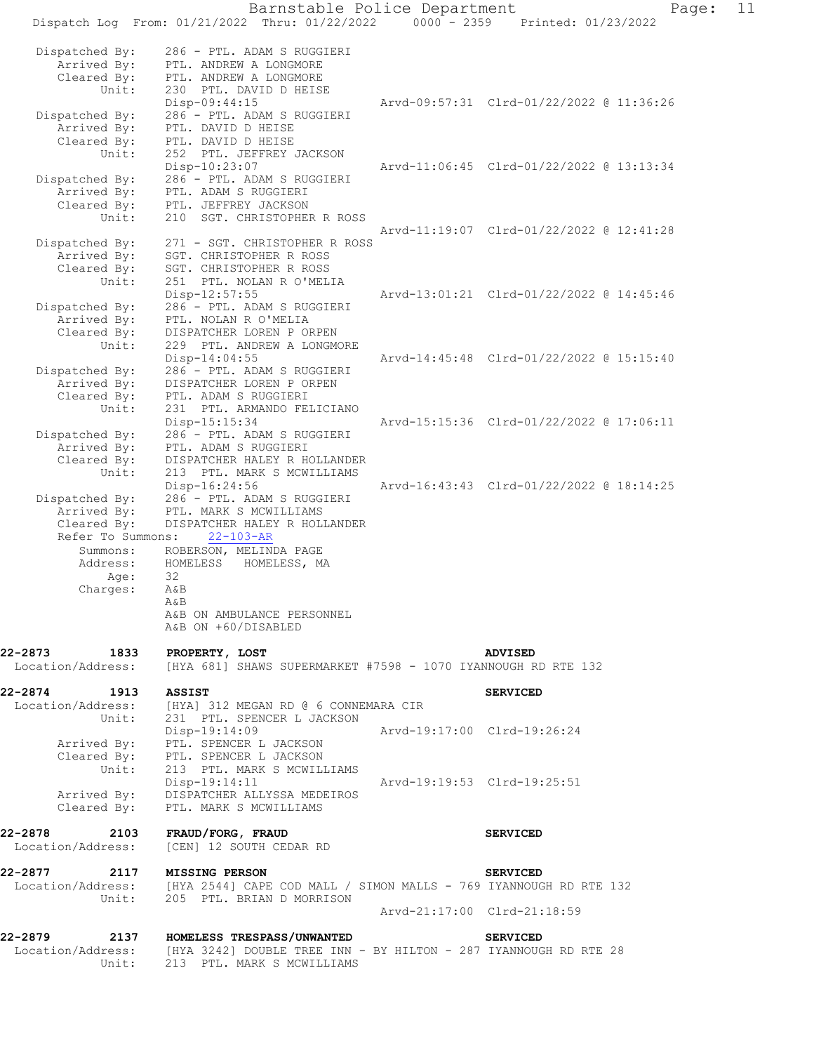|                               | Dispatch Log From: 01/21/2022 Thru: 01/22/2022                                      | $0000 - 2359$               | Printed: 01/23/2022                      |
|-------------------------------|-------------------------------------------------------------------------------------|-----------------------------|------------------------------------------|
| Dispatched By:                | 286 - PTL. ADAM S RUGGIERI                                                          |                             |                                          |
| Arrived By:<br>Cleared By:    | PTL. ANDREW A LONGMORE<br>PTL. ANDREW A LONGMORE                                    |                             |                                          |
| Unit:                         | 230 PTL. DAVID D HEISE<br>Disp-09:44:15                                             |                             | Arvd-09:57:31 Clrd-01/22/2022 @ 11:36:26 |
| Dispatched By:                | 286 - PTL. ADAM S RUGGIERI                                                          |                             |                                          |
| Arrived By:                   | PTL. DAVID D HEISE                                                                  |                             |                                          |
| Cleared By:                   | PTL. DAVID D HEISE                                                                  |                             |                                          |
| Unit:                         | 252 PTL. JEFFREY JACKSON                                                            |                             | Arvd-11:06:45 Clrd-01/22/2022 @ 13:13:34 |
| Dispatched By:                | Disp-10:23:07<br>286 - PTL. ADAM S RUGGIERI                                         |                             |                                          |
| Arrived By:                   | PTL. ADAM S RUGGIERI                                                                |                             |                                          |
| Cleared By:                   | PTL. JEFFREY JACKSON                                                                |                             |                                          |
| Unit:                         | 210<br>SGT. CHRISTOPHER R ROSS                                                      |                             |                                          |
| Dispatched By:                | 271 - SGT. CHRISTOPHER R ROSS                                                       |                             | Arvd-11:19:07 Clrd-01/22/2022 @ 12:41:28 |
| Arrived By:                   | SGT. CHRISTOPHER R ROSS                                                             |                             |                                          |
| Cleared By:                   | SGT. CHRISTOPHER R ROSS                                                             |                             |                                          |
| Unit:                         | 251 PTL. NOLAN R O'MELIA                                                            |                             |                                          |
|                               | Disp-12:57:55                                                                       |                             | Arvd-13:01:21 Clrd-01/22/2022 @ 14:45:46 |
| Dispatched By:<br>Arrived By: | 286 - PTL. ADAM S RUGGIERI<br>PTL. NOLAN R O'MELIA                                  |                             |                                          |
| Cleared By:                   | DISPATCHER LOREN P ORPEN                                                            |                             |                                          |
| Unit:                         | 229 PTL. ANDREW A LONGMORE                                                          |                             |                                          |
|                               | Disp-14:04:55                                                                       |                             | Arvd-14:45:48 Clrd-01/22/2022 @ 15:15:40 |
| Dispatched By:                | 286 - PTL. ADAM S RUGGIERI                                                          |                             |                                          |
| Arrived By:                   | DISPATCHER LOREN P ORPEN                                                            |                             |                                          |
| Cleared By:<br>Unit:          | PTL. ADAM S RUGGIERI<br>231 PTL. ARMANDO FELICIANO                                  |                             |                                          |
|                               | Disp-15:15:34                                                                       |                             | Arvd-15:15:36 Clrd-01/22/2022 @ 17:06:11 |
| Dispatched By:                | 286 - PTL. ADAM S RUGGIERI                                                          |                             |                                          |
| Arrived By:                   | PTL. ADAM S RUGGIERI                                                                |                             |                                          |
| Cleared By:                   | DISPATCHER HALEY R HOLLANDER                                                        |                             |                                          |
| Unit:                         | 213 PTL. MARK S MCWILLIAMS<br>Disp-16:24:56                                         |                             | Arvd-16:43:43 Clrd-01/22/2022 @ 18:14:25 |
| Dispatched By:                | 286 - PTL. ADAM S RUGGIERI                                                          |                             |                                          |
| Arrived By:                   | PTL. MARK S MCWILLIAMS                                                              |                             |                                          |
| Cleared By:                   | DISPATCHER HALEY R HOLLANDER                                                        |                             |                                          |
| Refer To Summons:             | $22 - 103 - AR$                                                                     |                             |                                          |
| Summons:<br>Address:          | ROBERSON, MELINDA PAGE<br>HOMELESS<br>HOMELESS, MA                                  |                             |                                          |
| Age:                          | 32                                                                                  |                             |                                          |
| Charges:                      | A&B                                                                                 |                             |                                          |
|                               | A&B                                                                                 |                             |                                          |
|                               | A&B ON AMBULANCE PERSONNEL<br>A&B ON +60/DISABLED                                   |                             |                                          |
| 22-2873 1833                  | PROPERTY, LOST                                                                      |                             | ADVISED                                  |
| Location/Address:             | [HYA 681] SHAWS SUPERMARKET #7598 - 1070 IYANNOUGH RD RTE 132                       |                             |                                          |
| 22-2874<br>1913               | <b>ASSIST</b><br>Location/Address: [HYA] 312 MEGAN RD @ 6 CONNEMARA CIR             |                             | <b>SERVICED</b>                          |
| Unit:                         | 231 PTL. SPENCER L JACKSON                                                          |                             |                                          |
|                               | $Disp-19:14:09$                                                                     | Arvd-19:17:00 Clrd-19:26:24 |                                          |
|                               | Arrived By: PTL. SPENCER L JACKSON                                                  |                             |                                          |
|                               | Cleared By: PTL. SPENCER L JACKSON<br>Unit: 213 PTL. MARK S MCWILLIAMS              |                             |                                          |
|                               |                                                                                     |                             |                                          |
| Arrived By:                   | Disp-19:14:11<br>DISPATCHER ALLYSSA MEDEIROS                                        | Arvd-19:19:53 Clrd-19:25:51 |                                          |
|                               | Cleared By: PTL. MARK S MCWILLIAMS                                                  |                             |                                          |
| 22-2878                       | 2103 FRAUD/FORG, FRAUD                                                              |                             | <b>SERVICED</b>                          |
|                               | Location/Address: [CEN] 12 SOUTH CEDAR RD                                           |                             |                                          |
| 22-2877 2117 MISSING PERSON   |                                                                                     |                             | <b>SERVICED</b>                          |
|                               | Location/Address: [HYA 2544] CAPE COD MALL / SIMON MALLS - 769 IYANNOUGH RD RTE 132 |                             |                                          |
| Unit:                         | 205 PTL. BRIAN D MORRISON                                                           |                             |                                          |
|                               |                                                                                     | Arvd-21:17:00 Clrd-21:18:59 |                                          |
| 22-2879                       | 2137 HOMELESS TRESPASS/UNWANTED                                                     |                             | <b>SERVICED</b>                          |
|                               | Location/Address: [HYA 3242] DOUBLE TREE INN - BY HILTON - 287 IYANNOUGH RD RTE 28  |                             |                                          |
| Unit:                         | 213 PTL. MARK S MCWILLIAMS                                                          |                             |                                          |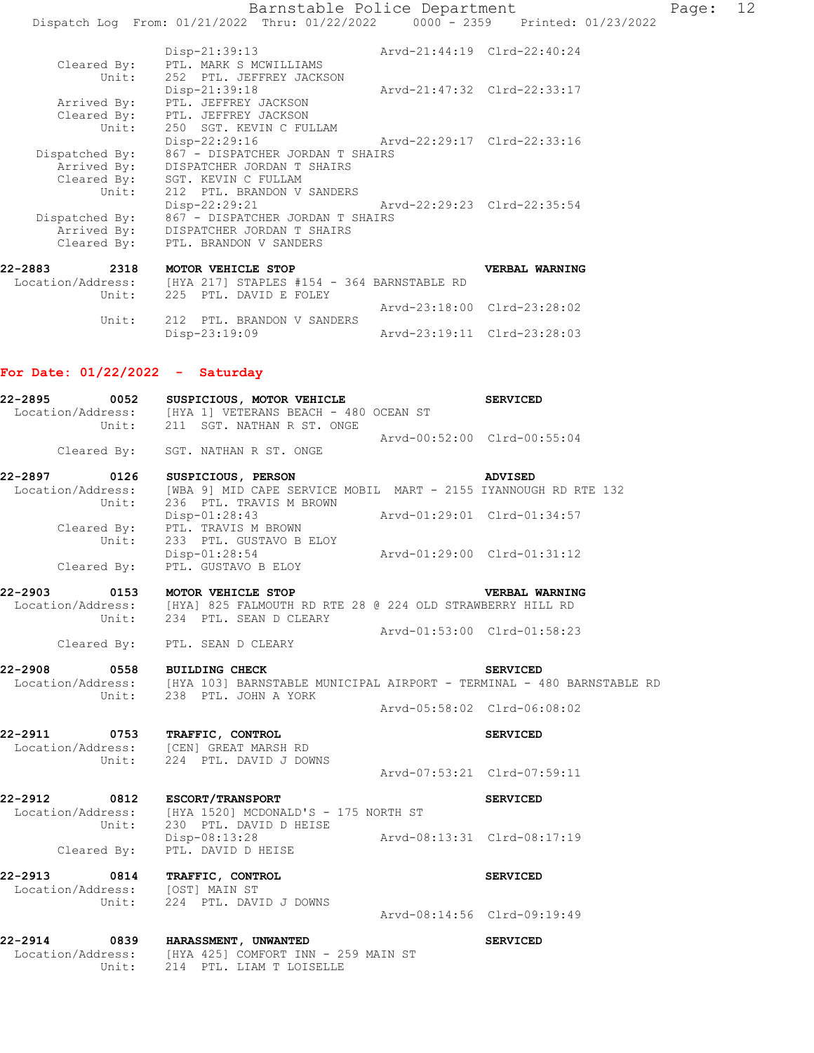|                   | Disp-21:39:13                                   | Arvd-21:44:19 Clrd-22:40:24 |                             |
|-------------------|-------------------------------------------------|-----------------------------|-----------------------------|
|                   | Cleared By: PTL. MARK S MCWILLIAMS              |                             |                             |
| Unit:             | 252 PTL. JEFFREY JACKSON                        |                             |                             |
|                   | Disp-21:39:18                                   |                             | Arvd-21:47:32 Clrd-22:33:17 |
| Arrived By:       | PTL. JEFFREY JACKSON                            |                             |                             |
|                   | Cleared By: PTL. JEFFREY JACKSON                |                             |                             |
|                   | Unit: 250 SGT. KEVIN C FULLAM                   |                             |                             |
|                   | Disp-22:29:16                                   | Arvd-22:29:17 Clrd-22:33:16 |                             |
| Dispatched By:    | 867 - DISPATCHER JORDAN T SHAIRS                |                             |                             |
|                   | Arrived By: DISPATCHER JORDAN T SHAIRS          |                             |                             |
|                   | Cleared By: SGT. KEVIN C FULLAM                 |                             |                             |
|                   | Unit: 212 PTL. BRANDON V SANDERS                |                             |                             |
|                   | Disp-22:29:21                                   | Arvd-22:29:23 Clrd-22:35:54 |                             |
|                   | Dispatched By: 867 - DISPATCHER JORDAN T SHAIRS |                             |                             |
|                   | Arrived By: DISPATCHER JORDAN T SHAIRS          |                             |                             |
|                   | Cleared By: PTL. BRANDON V SANDERS              |                             |                             |
| 2318<br>22-2883   | MOTOR VEHICLE STOP                              |                             | <b>VERBAL WARNING</b>       |
|                   |                                                 |                             |                             |
| Location/Address: | [HYA 217] STAPLES #154 - 364 BARNSTABLE RD      |                             |                             |
| Unit:             | 225 PTL, DAVID E FOLEY                          |                             |                             |
|                   |                                                 |                             | Arvd-23:18:00 Clrd-23:28:02 |

Disp-23:19:09 Arvd-23:19:11 Clrd-23:28:03

## **For Date: 01/22/2022 - Saturday**

Unit: 212 PTL. BRANDON V SANDERS

|                               | 22-2895 0052 SUSPICIOUS, MOTOR VEHICLE SERVICED                                                                        |                             |                       |
|-------------------------------|------------------------------------------------------------------------------------------------------------------------|-----------------------------|-----------------------|
|                               | Location/Address: [HYA 1] VETERANS BEACH - 480 OCEAN ST<br>Unit: 211 SGT. NATHAN R ST. ONGE                            |                             |                       |
|                               | Cleared By: SGT. NATHAN R ST. ONGE                                                                                     | Arvd-00:52:00 Clrd-00:55:04 |                       |
|                               |                                                                                                                        |                             | ADVISED               |
|                               | Location/Address: [WBA 9] MID CAPE SERVICE MOBIL MART - 2155 IYANNOUGH RD RTE 132<br>Unit: 236 PTL. TRAVIS M BROWN     |                             |                       |
|                               | Disp-01:28:43<br>Cleared By: PTL. TRAVIS M BROWN Arvd-01:29:01 Clrd-01:34:57                                           |                             |                       |
|                               | Unit: 233 PTL. GUSTAVO B ELOY<br>Disp-01:28:54 Arvd-01:29:00 Clrd-01:31:12<br>Cleared By: PTL. GUSTAVO B ELOY          |                             |                       |
|                               | 22-2903 0153 MOTOR VEHICLE STOP                                                                                        |                             | <b>VERBAL WARNING</b> |
|                               | Location/Address: [HYA] 825 FALMOUTH RD RTE 28 @ 224 OLD STRAWBERRY HILL RD<br>Unit: 234 PTL. SEAN D CLEARY            |                             |                       |
|                               | Cleared By: PTL. SEAN D CLEARY                                                                                         | Arvd-01:53:00 Clrd-01:58:23 |                       |
| 22-2908 0558 BUILDING CHECK   | Location/Address: [HYA 103] BARNSTABLE MUNICIPAL AIRPORT - TERMINAL - 480 BARNSTABLE RD                                |                             | <b>SERVICED</b>       |
|                               | Unit: 238 PTL. JOHN A YORK                                                                                             | Arvd-05:58:02 Clrd-06:08:02 |                       |
|                               | 22-2911 0753 TRAFFIC, CONTROL<br>Location/Address: [CEN] GREAT MARSH RD<br>Unit: 224 PTL. DAVID J DOWNS                |                             | <b>SERVICED</b>       |
|                               |                                                                                                                        | Arvd-07:53:21 Clrd-07:59:11 |                       |
| 22-2912 0812 ESCORT/TRANSPORT | Location/Address: [HYA 1520] MCDONALD'S - 175 NORTH ST<br>Unit: 230 PTL. DAVID D HEISE                                 |                             | <b>SERVICED</b>       |
|                               | Disp-08:13:28 Arvd-08:13:31 Clrd-08:17:19<br>Cleared By: PTL. DAVID D HEISE                                            |                             |                       |
|                               | 22-2913 0814 TRAFFIC, CONTROL                                                                                          |                             | <b>SERVICED</b>       |
|                               | Location/Address: [OST] MAIN ST<br>Unit: 224 PTL. DAVID J DOWNS                                                        | Arvd-08:14:56 Clrd-09:19:49 |                       |
| Unit:                         | 22-2914 0839 HARASSMENT, UNWANTED<br>Location/Address: [HYA 425] COMFORT INN - 259 MAIN ST<br>214 PTL. LIAM T LOISELLE |                             | <b>SERVICED</b>       |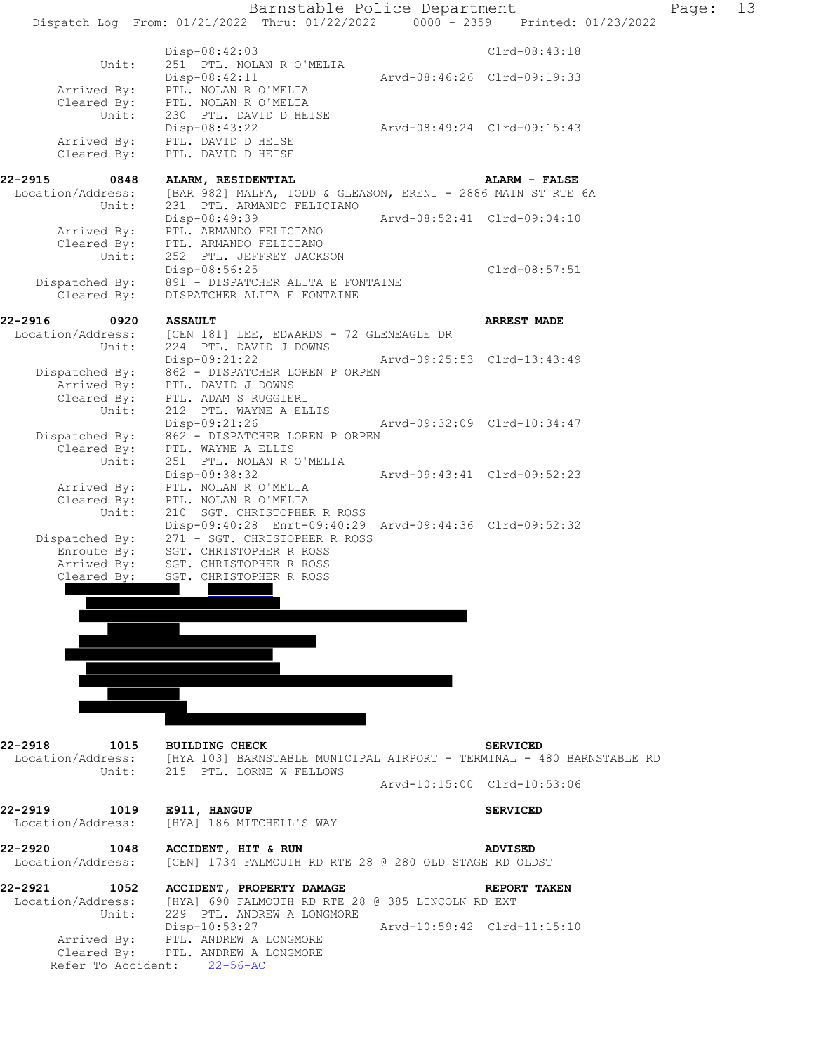



 Dispatched By: 271 - SGT. CHRISTOPHER R ROSS Enroute By: SGT. CHRISTOPHER R ROSS

> Arrived By: SGT. CHRISTOPHER R ROSS Cleared By: SGT. CHRISTOPHER R ROSS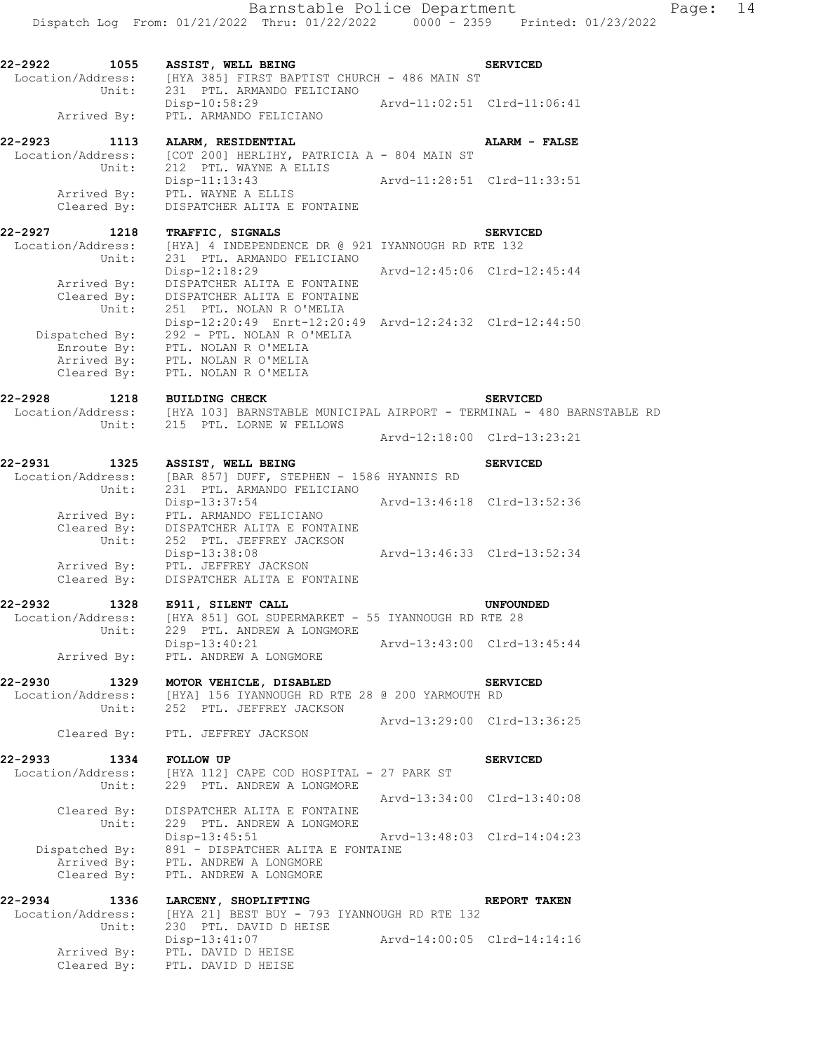Dispatch Log From: 01/21/2022 Thru: 01/22/2022 0000 - 2359 Printed: 01/23/2022 **22-2922 1055 ASSIST, WELL BEING SERVICED**  Location/Address: [HYA 385] FIRST BAPTIST CHURCH - 486 MAIN ST Unit: 231 PTL. ARMANDO FELICIANO Disp-10:58:29 Arvd-11:02:51 Clrd-11:06:41 Arrived By: PTL. ARMANDO FELICIANO **22-2923 1113 ALARM, RESIDENTIAL ALARM - FALSE**  Location/Address: [COT 200] HERLIHY, PATRICIA A - 804 MAIN ST Unit: 212 PTL. WAYNE A ELLIS Disp-11:13:43 Arvd-11:28:51 Clrd-11:33:51 Arrived By: PTL. WAYNE A ELLIS Cleared By: DISPATCHER ALITA E FONTAINE **22-2927 1218 TRAFFIC, SIGNALS SERVICED**  Location/Address: [HYA] 4 INDEPENDENCE DR @ 921 IYANNOUGH RD RTE 132 Unit: 231 PTL. ARMANDO FELICIANO Disp-12:18:29 Arvd-12:45:06 Clrd-12:45:44 Arrived By: DISPATCHER ALITA E FONTAINE Cleared By: DISPATCHER ALITA E FONTAINE Unit: 251 PTL. NOLAN R O'MELIA Disp-12:20:49 Enrt-12:20:49 Arvd-12:24:32 Clrd-12:44:50 Dispatched By: 292 - PTL. NOLAN R O'MELIA Enroute By: PTL. NOLAN R O'MELIA Arrived By: PTL. NOLAN R O'MELIA Cleared By: PTL. NOLAN R O'MELIA **22-2928 1218 BUILDING CHECK SERVICED**  Location/Address: [HYA 103] BARNSTABLE MUNICIPAL AIRPORT - TERMINAL - 480 BARNSTABLE RD Unit: 215 PTL. LORNE W FELLOWS Arvd-12:18:00 Clrd-13:23:21 **22-2931 1325 ASSIST, WELL BEING SERVICED**  Location/Address: [BAR 857] DUFF, STEPHEN - 1586 HYANNIS RD Unit: 231 PTL. ARMANDO FELICIANO Disp-13:37:54 Arvd-13:46:18 Clrd-13:52:36 Arrived By: PTL. ARMANDO FELICIANO Cleared By: DISPATCHER ALITA E FONTAINE Unit: 252 PTL. JEFFREY JACKSON Disp-13:38:08 Arvd-13:46:33 Clrd-13:52:34 Arrived By: PTL. JEFFREY JACKSON Cleared By: DISPATCHER ALITA E FONTAINE **22-2932 1328 E911, SILENT CALL UNFOUNDED**  Location/Address: [HYA 851] GOL SUPERMARKET - 55 IYANNOUGH RD RTE 28 Unit: 229 PTL. ANDREW A LONGMORE Disp-13:40:21 Arvd-13:43:00 Clrd-13:45:44 Arrived By: PTL. ANDREW A LONGMORE **22-2930 1329 MOTOR VEHICLE, DISABLED SERVICED** 

 Location/Address: [HYA] 156 IYANNOUGH RD RTE 28 @ 200 YARMOUTH RD Unit: 252 PTL. JEFFREY JACKSON Arvd-13:29:00 Clrd-13:36:25 Cleared By: PTL. JEFFREY JACKSON

**22-2933 1334 FOLLOW UP SERVICED**  Location/Address: [HYA 112] CAPE COD HOSPITAL - 27 PARK ST Unit: 229 PTL. ANDREW A LONGMORE Arvd-13:34:00 Clrd-13:40:08 Cleared By: DISPATCHER ALITA E FONTAINE Unit: 229 PTL. ANDREW A LONGMORE Disp-13:45:51 Arvd-13:48:03 Clrd-14:04:23 Dispatched By: 891 - DISPATCHER ALITA E FONTAINE Arrived By: PTL. ANDREW A LONGMORE Cleared By: PTL. ANDREW A LONGMORE

**22-2934 1336 LARCENY, SHOPLIFTING REPORT TAKEN**  Location/Address: [HYA 21] BEST BUY - 793 IYANNOUGH RD RTE 132 Unit: 230 PTL. DAVID D HEISE Disp-13:41:07 Arvd-14:00:05 Clrd-14:14:16 Arrived By: PTL. DAVID D HEISE Cleared By: PTL. DAVID D HEISE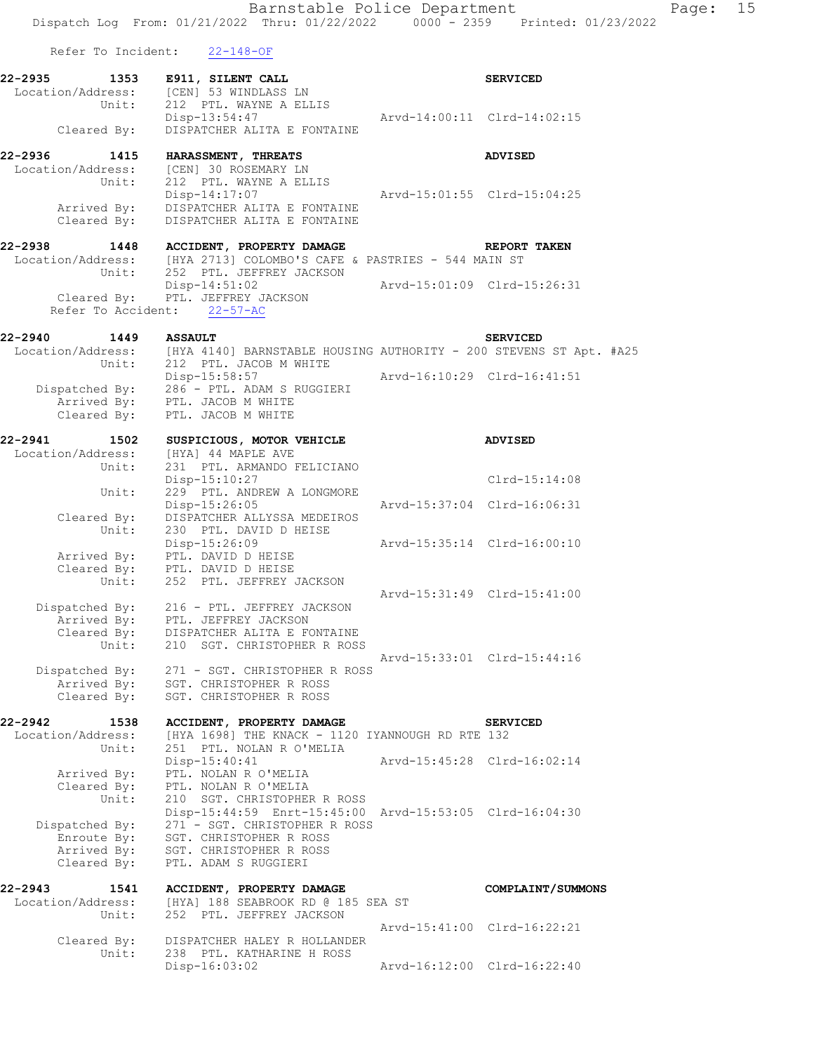Barnstable Police Department Page: 15 Dispatch Log From: 01/21/2022 Thru: 01/22/2022 0000 - 2359 Printed: 01/23/2022 Refer To Incident: 22-148-OF 22-2935 1353 E911, SILENT CALL **SERVICED** Location/Address: [CEN] 53 WINDLASS LN<br>Unit: 212 PTL. WAYNE A ELL 212 PTL. WAYNE A ELLIS Disp-13:54:47 Arvd-14:00:11 Clrd-14:02:15 Cleared By: DISPATCHER ALITA E FONTAINE **22-2936 1415 HARASSMENT, THREATS ADVISED**  Location/Address: [CEN] 30 ROSEMARY LN Unit: 212 PTL. WAYNE A ELLIS Disp-14:17:07 Arvd-15:01:55 Clrd-15:04:25 Arrived By: DISPATCHER ALITA E FONTAINE Cleared By: DISPATCHER ALITA E FONTAINE **22-2938 1448 ACCIDENT, PROPERTY DAMAGE REPORT TAKEN**  Location/Address: [HYA 2713] COLOMBO'S CAFE & PASTRIES - 544 MAIN ST Unit: 252 PTL. JEFFREY JACKSON Disp-14:51:02 Arvd-15:01:09 Clrd-15:26:31 Cleared By: PTL. JEFFREY JACKSON Refer To Accident: 22-57-AC **22-2940 1449 ASSAULT SERVICED**  Location/Address: [HYA 4140] BARNSTABLE HOUSING AUTHORITY - 200 STEVENS ST Apt. #A25 Unit: 212 PTL. JACOB M WHITE Disp-15:58:57 Arvd-16:10:29 Clrd-16:41:51 Dispatched By: 286 - PTL. ADAM S RUGGIERI Arrived By: PTL. JACOB M WHITE Cleared By: PTL. JACOB M WHITE **22-2941 1502 SUSPICIOUS, MOTOR VEHICLE ADVISED**  Location/Address: [HYA] 44 MAPLE AVE Unit: 231 PTL. ARMANDO FELICIANO Disp-15:10:27 Clrd-15:14:08 Unit: 229 PTL. ANDREW A LONGMORE Disp-15:26:05 Arvd-15:37:04 Clrd-16:06:31 Cleared By: DISPATCHER ALLYSSA MEDEIROS Unit: 230 PTL. DAVID D HEISE Disp-15:26:09 Arvd-15:35:14 Clrd-16:00:10 Arrived By: PTL. DAVID D HEISE Cleared By: PTL. DAVID D HEISE Unit: 252 PTL. JEFFREY JACKSON Arvd-15:31:49 Clrd-15:41:00 Dispatched By: 216 - PTL. JEFFREY JACKSON Arrived By: PTL. JEFFREY JACKSON Cleared By: DISPATCHER ALITA E FONTAINE Unit: 210 SGT. CHRISTOPHER R ROSS Arvd-15:33:01 Clrd-15:44:16 Dispatched By: 271 - SGT. CHRISTOPHER R ROSS Arrived By: SGT. CHRISTOPHER R ROSS Cleared By: SGT. CHRISTOPHER R ROSS **22-2942 1538 ACCIDENT, PROPERTY DAMAGE SERVICED**  Location/Address: [HYA 1698] THE KNACK - 1120 IYANNOUGH RD RTE 132 Unit: 251 PTL. NOLAN R O'MELIA Disp-15:40:41 Arvd-15:45:28 Clrd-16:02:14 Arrived By: PTL. NOLAN R O'MELIA Cleared By: PTL. NOLAN R O'MELIA Unit: 210 SGT. CHRISTOPHER R ROSS Disp-15:44:59 Enrt-15:45:00 Arvd-15:53:05 Clrd-16:04:30 Dispatched By: 271 - SGT. CHRISTOPHER R ROSS Enroute By: SGT. CHRISTOPHER R ROSS Arrived By: SGT. CHRISTOPHER R ROSS Cleared By: PTL. ADAM S RUGGIERI **22-2943 1541 ACCIDENT, PROPERTY DAMAGE COMPLAINT/SUMMONS**  Location/Address: [HYA] 188 SEABROOK RD @ 185 SEA ST Unit: 252 PTL. JEFFREY JACKSON Arvd-15:41:00 Clrd-16:22:21 Cleared By: DISPATCHER HALEY R HOLLANDER Unit: 238 PTL. KATHARINE H ROSS

Disp-16:03:02 Arvd-16:12:00 Clrd-16:22:40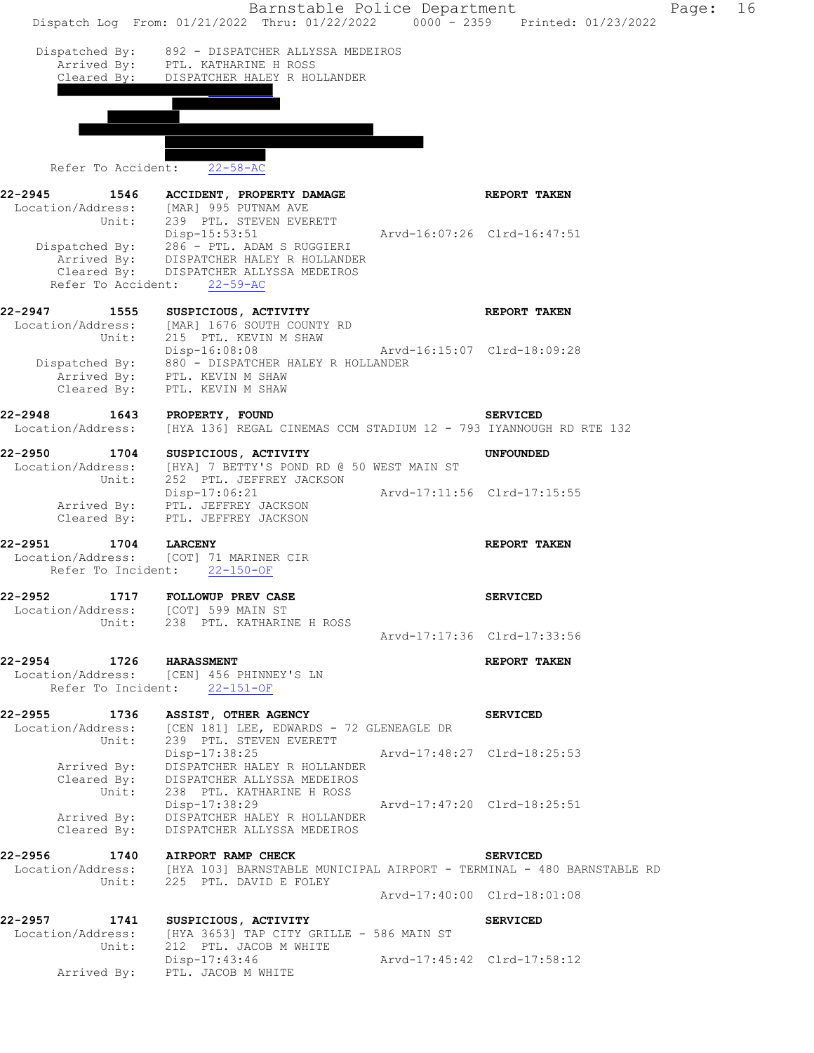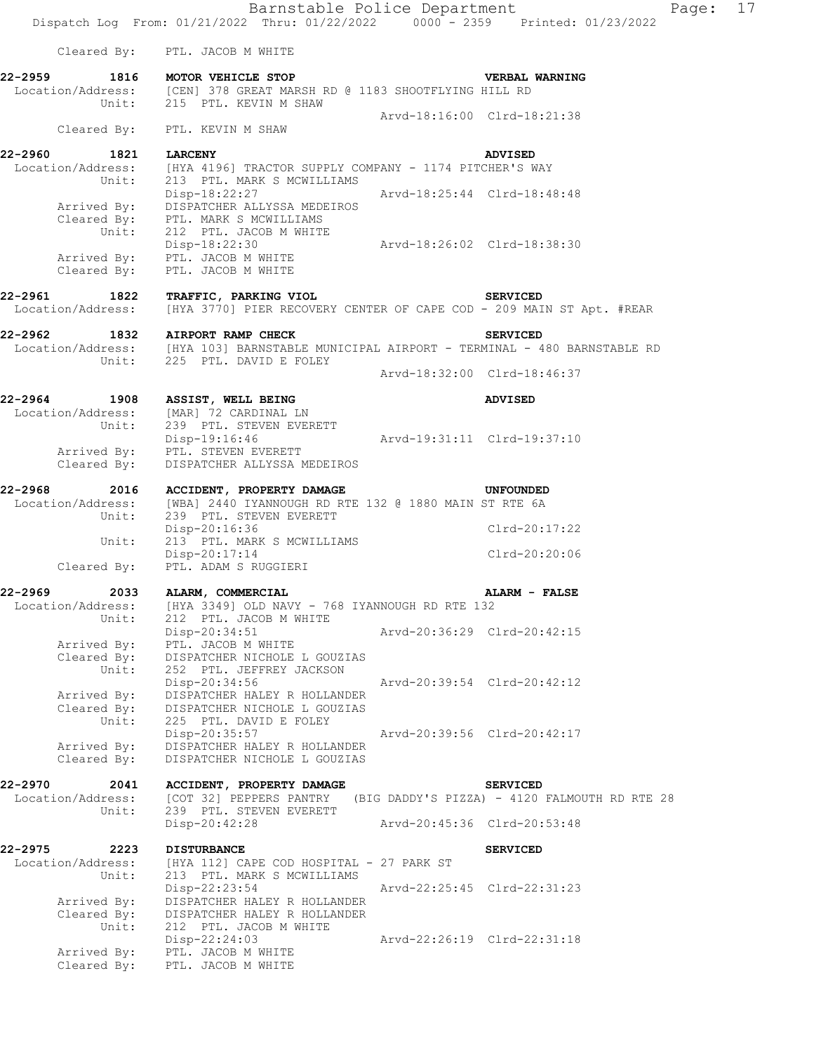Barnstable Police Department Fage: 17 Dispatch Log From: 01/21/2022 Thru: 01/22/2022 0000 - 2359 Printed: 01/23/2022 Cleared By: PTL. JACOB M WHITE **22-2959 1816 MOTOR VEHICLE STOP VERBAL WARNING**  Location/Address: [CEN] 378 GREAT MARSH RD @ 1183 SHOOTFLYING HILL RD Unit: 215 PTL. KEVIN M SHAW Arvd-18:16:00 Clrd-18:21:38 Cleared By: PTL. KEVIN M SHAW **22-2960 1821 LARCENY ADVISED**  [HYA 4196] TRACTOR SUPPLY COMPANY - 1174 PITCHER'S WAY Location/Address: [HYA 4196] TRACTOR SUPPLY CO<br>Unit: 213 PTL. MARK S MCWILLIAMS Disp-18:22:27 Arvd-18:25:44 Clrd-18:48:48 Arrived By: DISPATCHER ALLYSSA MEDEIROS Cleared By: PTL. MARK S MCWILLIAMS Unit: 212 PTL. JACOB M WHITE Disp-18:22:30 Arvd-18:26:02 Clrd-18:38:30 Arrived By: PTL. JACOB M WHITE Cleared By: PTL. JACOB M WHITE **22-2961 1822 TRAFFIC, PARKING VIOL SERVICED**  Location/Address: [HYA 3770] PIER RECOVERY CENTER OF CAPE COD - 209 MAIN ST Apt. #REAR **22-2962 1832 AIRPORT RAMP CHECK SERVICED**  Location/Address: [HYA 103] BARNSTABLE MUNICIPAL AIRPORT - TERMINAL - 480 BARNSTABLE RD Unit: 225 PTL. DAVID E FOLEY Arvd-18:32:00 Clrd-18:46:37 **22-2964 1908 ASSIST, WELL BEING ADVISED**  Location/Address: [MAR] 72 CARDINAL LN Unit: 239 PTL. STEVEN EVERETT Disp-19:16:46 Arvd-19:31:11 Clrd-19:37:10 Arrived By: PTL. STEVEN EVERETT Cleared By: DISPATCHER ALLYSSA MEDEIROS **22-2968 2016 ACCIDENT, PROPERTY DAMAGE UNFOUNDED**<br>Location/Address: [WBA] 2440 IYANNOUGH RD RTE 132 @ 1880 MAIN ST RTE 6A [WBA] 2440 IYANNOUGH RD RTE 132 @ 1880 MAIN ST RTE 6A Unit: 239 PTL. STEVEN EVERETT Disp-20:16:36 Clrd-20:17:22 Unit: 213 PTL. MARK S MCWILLIAMS Disp-20:17:14 Clrd-20:20:06 Cleared By: PTL. ADAM S RUGGIERI **22-2969 2033 ALARM, COMMERCIAL ALARM - FALSE**  Location/Address: [HYA 3349] OLD NAVY - 768 IYANNOUGH RD RTE 132 Unit: 212 PTL. JACOB M WHITE Disp-20:34:51 Arvd-20:36:29 Clrd-20:42:15 Arrived By: PTL. JACOB M WHITE Cleared By: DISPATCHER NICHOLE L GOUZIAS Unit: 252 PTL. JEFFREY JACKSON Disp-20:34:56 Arvd-20:39:54 Clrd-20:42:12 Arrived By: DISPATCHER HALEY R HOLLANDER Cleared By: DISPATCHER NICHOLE L GOUZIAS Unit: 225 PTL. DAVID E FOLEY Disp-20:35:57 Arvd-20:39:56 Clrd-20:42:17 Arrived By: DISPATCHER HALEY R HOLLANDER Cleared By: DISPATCHER NICHOLE L GOUZIAS

**22-2970 2041 ACCIDENT, PROPERTY DAMAGE SERVICED**  Location/Address: [COT 32] PEPPERS PANTRY (BIG DADDY'S PIZZA) - 4120 FALMOUTH RD RTE 28 Unit: 239 PTL. STEVEN EVERETT

Disp-20:42:28 Arvd-20:45:36 Clrd-20:53:48

**22-2975 2223 DISTURBANCE SERVICED**  Location/Address: [HYA 112] CAPE COD HOSPITAL - 27 PARK ST Unit: 213 PTL. MARK S MCWILLIAMS Disp-22:23:54 Arvd-22:25:45 Clrd-22:31:23 Arrived By: DISPATCHER HALEY R HOLLANDER Cleared By: DISPATCHER HALEY R HOLLANDER Unit: 212 PTL. JACOB M WHITE Disp-22:24:03 Arvd-22:26:19 Clrd-22:31:18 Arrived By: PTL. JACOB M WHITE Cleared By: PTL. JACOB M WHITE